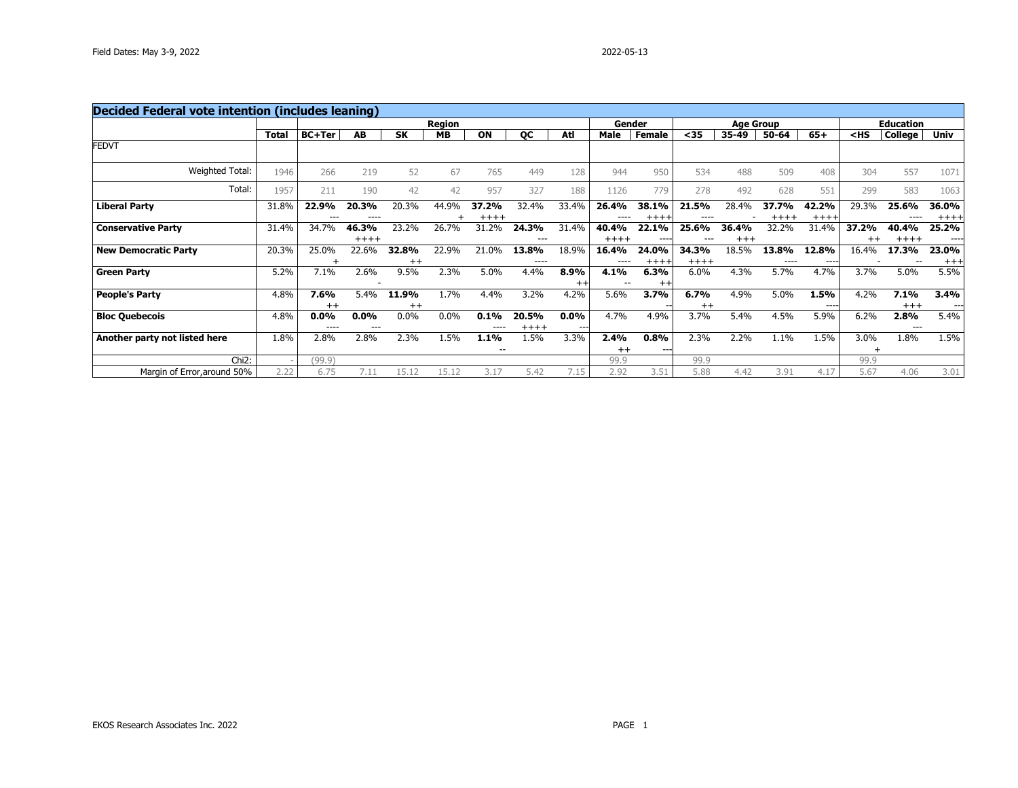| <b>Decided Federal vote intention (includes leaning)</b> |              |                 |                    |                  |               |                 |                    |                  |                  |                  |                 |                   |               |                   |                  |                  |                   |
|----------------------------------------------------------|--------------|-----------------|--------------------|------------------|---------------|-----------------|--------------------|------------------|------------------|------------------|-----------------|-------------------|---------------|-------------------|------------------|------------------|-------------------|
|                                                          |              |                 |                    |                  | <b>Region</b> |                 |                    |                  | Gender           |                  |                 | <b>Age Group</b>  |               |                   |                  | <b>Education</b> |                   |
|                                                          | <b>Total</b> | <b>BC+Ter</b>   | AB                 | <b>SK</b>        | <b>MB</b>     | ON              | QC                 | Atl              | Male             | <b>Female</b>    | $35$            | 35-49             | 50-64         | $65+$             | $<$ HS           | <b>College</b>   | <b>Univ</b>       |
| <b>FEDVT</b>                                             |              |                 |                    |                  |               |                 |                    |                  |                  |                  |                 |                   |               |                   |                  |                  |                   |
| Weighted Total:                                          | 1946         | 266             | 219                | 52               | 67            | 765             | 449                | 128              | 944              | 950              | 534             | 488               | 509           | 408               | 304              | 557              | 1071              |
| Total:                                                   | 1957         | 211             | 190                | 42               | 42            | 957             | 327                | 188              | 1126             | 779              | 278             | 492               | 628           | 551               | 299              | 583              | 1063              |
| <b>Liberal Party</b>                                     | 31.8%        | 22.9%<br>---    | 20.3%<br>----      | 20.3%            | 44.9%         | 37.2%<br>$++++$ | 32.4%              | 33.4%            | 26.4%<br>----    | 38.1%<br>$++++$  | 21.5%           | 28.4%             | 37.7%         | 42.2%<br>$+++++$  | 29.3%            | 25.6%            | 36.0%<br>$+++ +$  |
| <b>Conservative Party</b>                                | 31.4%        | 34.7%           | 46.3%<br>$++++$    | 23.2%            | 26.7%         | 31.2%           | 24.3%<br>---       | 31.4%            | 40.4%<br>$+++++$ | 22.1%<br>----    | 25.6%           | 36.4%<br>$^{+++}$ | 32.2%         | 31.4%             | 37.2%<br>$^{++}$ | 40.4%<br>$+++++$ | 25.2%<br>----     |
| <b>New Democratic Party</b>                              | 20.3%        | 25.0%           | 22.6%              | 32.8%<br>$^{++}$ | 22.9%         | 21.0%           | 13.8%<br>$- - - -$ | 18.9%            | 16.4%<br>----    | 24.0%<br>$+++++$ | 34.3%<br>$++++$ | 18.5%             | 13.8%<br>---- | 12.8%<br>$\cdots$ | 16.4%            | 17.3%            | 23.0%<br>$^{+++}$ |
| <b>Green Party</b>                                       | 5.2%         | 7.1%            | 2.6%               | 9.5%             | 2.3%          | 5.0%            | 4.4%               | 8.9%<br>$^{++}$  | 4.1%             | 6.3%<br>$^{++}$  | 6.0%            | 4.3%              | 5.7%          | 4.7%              | 3.7%             | 5.0%             | 5.5%              |
| <b>People's Party</b>                                    | 4.8%         | 7.6%<br>$++$    | 5.4%               | 11.9%<br>$++$    | 1.7%          | 4.4%            | 3.2%               | 4.2%             | 5.6%             | 3.7%             | 6.7%<br>$++$    | 4.9%              | 5.0%          | 1.5%<br>$---$     | 4.2%             | 7.1%<br>$+++$    | 3.4%<br>$---$     |
| <b>Bloc Quebecois</b>                                    | 4.8%         | $0.0\%$<br>---- | $0.0\%$<br>$- - -$ | 0.0%             | $0.0\%$       | 0.1%<br>----    | 20.5%<br>$+++++$   | $0.0\%$<br>$---$ | 4.7%             | 4.9%             | 3.7%            | 5.4%              | 4.5%          | 5.9%              | 6.2%             | 2.8%<br>---      | 5.4%              |
| Another party not listed here                            | 1.8%         | 2.8%            | 2.8%               | 2.3%             | 1.5%          | 1.1%<br>--      | L.5%               | 3.3%             | 2.4%<br>$++$     | 0.8%<br>$---$    | 2.3%            | 2.2%              | 1.1%          | 1.5%              | 3.0%             | 1.8%             | 1.5%              |
| Chi <sub>2</sub> :                                       |              | (99.9)          |                    |                  |               |                 |                    |                  | 99.9             |                  | 99.9            |                   |               |                   | 99.9             |                  |                   |
| Margin of Error, around 50%                              | 2.22         | 6.75            | 7.11               | 15.12            | 15.12         | 3.17            | 5.42               | 7.15             | 2.92             | 3.51             | 5.88            | 4.42              | 3.91          | 4.17              | 5.67             | 4.06             | 3.01              |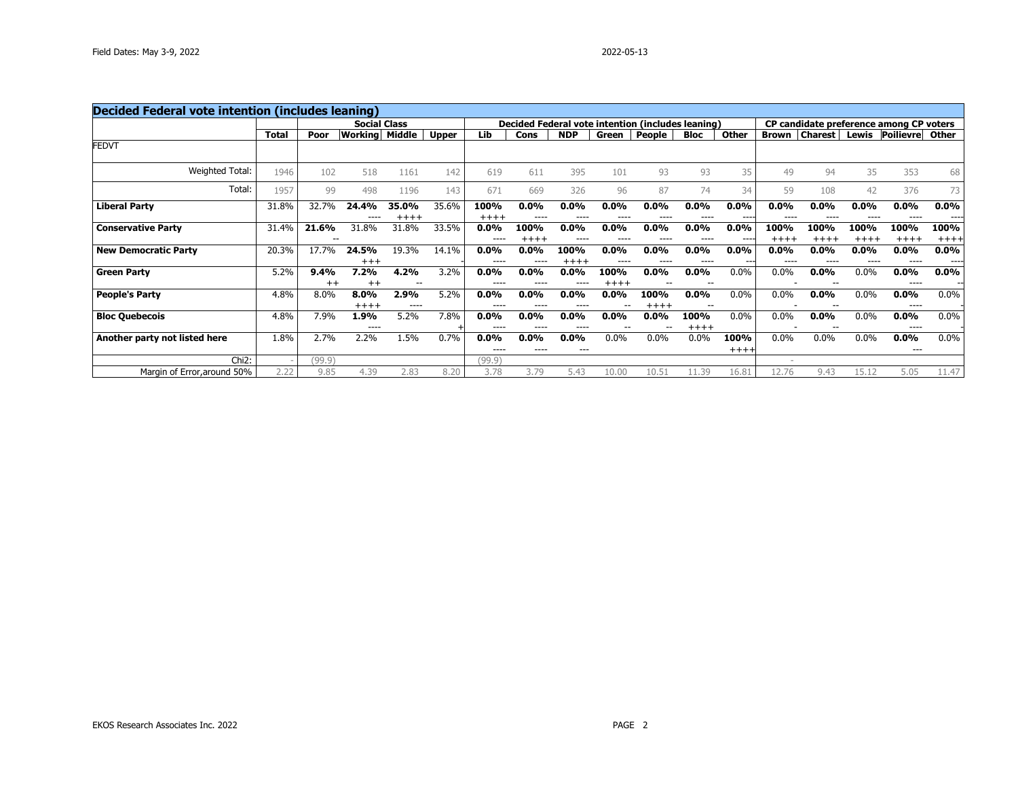| <b>Decided Federal vote intention (includes leaning)</b> |              |                 |                     |                   |              |                      |                      |                 |                   |                                                   |                   |                 |                      |                    |                 |                                         |                 |
|----------------------------------------------------------|--------------|-----------------|---------------------|-------------------|--------------|----------------------|----------------------|-----------------|-------------------|---------------------------------------------------|-------------------|-----------------|----------------------|--------------------|-----------------|-----------------------------------------|-----------------|
|                                                          |              |                 | <b>Social Class</b> |                   |              |                      |                      |                 |                   | Decided Federal vote intention (includes leaning) |                   |                 |                      |                    |                 | CP candidate preference among CP voters |                 |
|                                                          | <b>Total</b> | Poor            | Workinal            | Middle            | <b>Upper</b> | Lib                  | Cons                 | <b>NDP</b>      | Green             | People                                            | <b>Bloc</b>       | Other           | <b>Brown</b>         | <b>Charest</b>     | Lewis           | <b>Poilievre</b>                        | Other           |
| <b>FEDVT</b>                                             |              |                 |                     |                   |              |                      |                      |                 |                   |                                                   |                   |                 |                      |                    |                 |                                         |                 |
| Weighted Total:                                          | 1946         | 102             | 518                 | 1161              | 142          | 619                  | 611                  | 395             | 101               | 93                                                | 93                | 35              | 49                   | 94                 | 35              | 353                                     | 68              |
| Total:                                                   | 1957         | 99              | 498                 | 1196              | 143          | 671                  | 669                  | 326             | 96                | 87                                                | 74                | 34              | 59                   | 108                | 42              | 376                                     | 73              |
| <b>Liberal Party</b>                                     | 31.8%        | 32.7%           | 24.4%               | 35.0%<br>$+++++$  | 35.6%        | 100%<br>$+++++$      | $0.0\%$<br>$- - - -$ | $0.0\%$         | $0.0\%$<br>----   | 0.0%<br>----                                      | 0.0%<br>$- - - -$ | 0.0%<br>----    | 0.0%<br>$- - - -$    | $0.0\%$<br>---     | $0.0\%$         | $0.0\%$<br>----                         | $0.0\%$<br>---- |
| <b>Conservative Party</b>                                | 31.4%        | 21.6%           | 31.8%               | 31.8%             | 33.5%        | $0.0\%$<br>$- - - -$ | 100%<br>$++++$       | $0.0\%$         | $0.0\%$<br>----   | $0.0\%$<br>----                                   | $0.0\%$<br>----   | $0.0\%$<br>---- | 100%<br>$+++++$      | 100%<br>$++++$     | 100%<br>$++++$  | 100%<br>$++++$                          | 100%<br>$+++$   |
| <b>New Democratic Party</b>                              | 20.3%        | 17.7%           | 24.5%<br>$^{+++}$   | 19.3%             | 14.1%        | 0.0%<br>----         | $0.0\%$<br>$---$     | 100%<br>$++++$  | $0.0\%$<br>----   | 0.0%<br>----                                      | 0.0%<br>----      | 0.0%<br>---     | $0.0\%$<br>$- - - -$ | $0.0\%$<br>$- - -$ | $0.0\%$<br>---- | $0.0\%$<br>----                         | $0.0\%$<br>---- |
| <b>Green Party</b>                                       | 5.2%         | 9.4%<br>$^{++}$ | 7.2%<br>$^{++}$     | 4.2%<br>$- -$     | 3.2%         | $0.0\%$<br>$---$     | $0.0\%$<br>$- - - -$ | $0.0\%$         | 100%<br>$+ + + +$ | $0.0\%$                                           | 0.0%<br>$- -$     | 0.0%            | 0.0%                 | $0.0\%$            | $0.0\%$         | $0.0\%$<br>----                         | $0.0\%$<br>--   |
| <b>People's Party</b>                                    | 4.8%         | 8.0%            | 8.0%<br>$+++++$     | 2.9%<br>$- - - -$ | 5.2%         | 0.0%<br>$- - - -$    | $0.0\%$<br>$- - - -$ | $0.0\%$         | $0.0\%$           | 100%<br>$++++$                                    | 0.0%<br>$- -$     | $0.0\%$         | 0.0%                 | 0.0%               | $0.0\%$         | $0.0\%$<br>----                         | $0.0\%$         |
| <b>Bloc Quebecois</b>                                    | 4.8%         | 7.9%            | 1.9%<br>----        | 5.2%              | 7.8%         | $0.0\%$<br>----      | $0.0\%$<br>$- - - -$ | $0.0\%$<br>---- | $0.0\%$           | $0.0\%$<br>--                                     | 100%<br>$+++++$   | $0.0\%$         | 0.0%                 | $0.0\%$            | $0.0\%$         | $0.0\%$<br>----                         | $0.0\%$         |
| Another party not listed here                            | 1.8%         | 2.7%            | 2.2%                | 1.5%              | 0.7%         | 0.0%<br>----         | $0.0\%$<br>$- - - -$ | $0.0\%$<br>---  | 0.0%              | 0.0%                                              | 0.0%              | 100%<br>$+++++$ | 0.0%                 | 0.0%               | $0.0\%$         | 0.0%<br>---                             | $0.0\%$         |
| Chi <sub>2</sub> :                                       |              | (99.9)          |                     |                   |              | (99.9)               |                      |                 |                   |                                                   |                   |                 |                      |                    |                 |                                         |                 |
| Margin of Error, around 50%                              | 2.22         | 9.85            | 4.39                | 2.83              | 8.20         | 3.78                 | 3.79                 | 5.43            | 10.00             | 10.51                                             | 11.39             | 16.81           | 12.76                | 9.43               | 15.12           | 5.05                                    | 11.47           |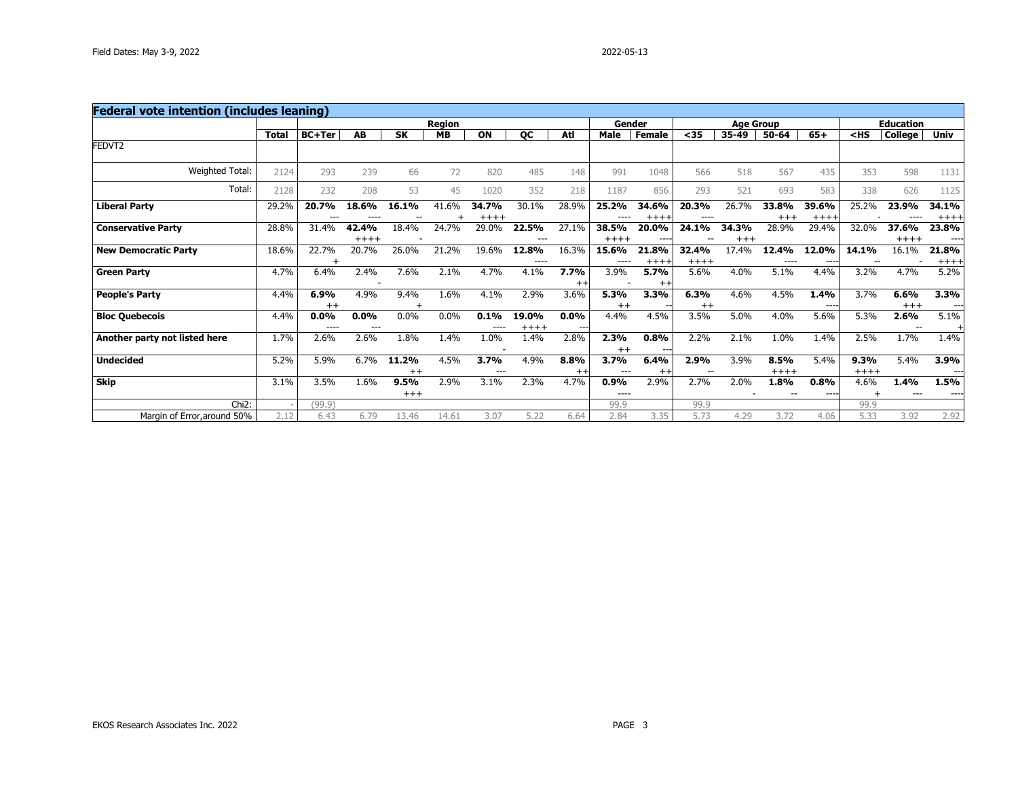| <b>Federal vote intention (includes leaning)</b> |              |                 |                  |               |               |                 |                  |                 |                 |                    |                 |                  |                  |                 |                |                  |                  |
|--------------------------------------------------|--------------|-----------------|------------------|---------------|---------------|-----------------|------------------|-----------------|-----------------|--------------------|-----------------|------------------|------------------|-----------------|----------------|------------------|------------------|
|                                                  |              |                 |                  |               | <b>Region</b> |                 |                  |                 | Gender          |                    |                 | <b>Age Group</b> |                  |                 |                | <b>Education</b> |                  |
|                                                  | <b>Total</b> | <b>BC+Ter</b>   | <b>AB</b>        | <b>SK</b>     | <b>MB</b>     | ON              | <b>OC</b>        | Atl             | Male            | <b>Female</b>      | $35$            | 35-49            | 50-64            | $65+$           | $<$ HS         | <b>College</b>   | Univ             |
| FEDVT2                                           |              |                 |                  |               |               |                 |                  |                 |                 |                    |                 |                  |                  |                 |                |                  |                  |
| Weighted Total:                                  | 2124         | 293             | 239              | 66            | 72            | 820             | 485              | 148             | 991             | 1048               | 566             | 518              | 567              | 435             | 353            | 598              | 1131             |
| Total:                                           | 2128         | 232             | 208              | 53            | 45            | 1020            | 352              | 218             | 1187            | 856                | 293             | 521              | 693              | 583             | 338            | 626              | 1125             |
| <b>Liberal Party</b>                             | 29.2%        | 20.7%<br>---    | 18.6%            | 16.1%         | 41.6%         | 34.7%<br>$++++$ | 30.1%            | 28.9%           | 25.2%<br>----   | 34.6%<br>$++++$    | 20.3%<br>----   | 26.7%            | 33.8%<br>$^{++}$ | 39.6%<br>$++++$ | 25.2%          | 23.9%            | 34.1%<br>$++++$  |
| <b>Conservative Party</b>                        | 28.8%        | 31.4%           | 42.4%<br>$+++++$ | 18.4%         | 24.7%         | 29.0%           | 22.5%<br>---     | 27.1%           | 38.5%<br>$++++$ | 20.0%<br>$- - - -$ | 24.1%           | 34.3%<br>$+++$   | 28.9%            | 29.4%           | 32.0%          | 37.6%<br>$++++$  | 23.8%<br>$--- -$ |
| <b>New Democratic Party</b>                      | 18.6%        | 22.7%           | 20.7%            | 26.0%         | 21.2%         | 19.6%           | 12.8%<br>----    | 16.3%           | 15.6%<br>---    | 21.8%<br>$++++$    | 32.4%<br>$++++$ | 17.4%            | 12.4%            | 12.0%<br>---    | 14.1%          | 16.1%            | 21.8%<br>$++++$  |
| <b>Green Party</b>                               | 4.7%         | 6.4%            | 2.4%             | 7.6%          | 2.1%          | 4.7%            | 4.1%             | 7.7%<br>$++$    | 3.9%            | 5.7%<br>$^{++}$    | 5.6%            | 4.0%             | 5.1%             | 4.4%            | 3.2%           | 4.7%             | 5.2%             |
| <b>People's Party</b>                            | 4.4%         | 6.9%<br>$^{++}$ | 4.9%             | 9.4%          | 1.6%          | 4.1%            | 2.9%             | 3.6%            | 5.3%<br>$^{++}$ | 3.3%               | 6.3%<br>$^{++}$ | 4.6%             | 4.5%             | 1.4%<br>$---$   | 3.7%           | 6.6%<br>$+++$    | 3.3%<br>$---$    |
| <b>Bloc Quebecois</b>                            | 4.4%         | 0.0%<br>$---$   | $0.0\%$<br>---   | 0.0%          | 0.0%          | 0.1%<br>----    | 19.0%<br>$+++++$ | $0.0\%$         | 4.4%            | 4.5%               | 3.5%            | 5.0%             | 4.0%             | 5.6%            | 5.3%           | 2.6%<br>--       | 5.1%             |
| Another party not listed here                    | 1.7%         | 2.6%            | 2.6%             | 1.8%          | 1.4%          | 1.0%            | 1.4%             | 2.8%            | 2.3%<br>$^{++}$ | 0.8%               | 2.2%            | 2.1%             | 1.0%             | 1.4%            | 2.5%           | 1.7%             | 1.4%             |
| <b>Undecided</b>                                 | 5.2%         | 5.9%            | 6.7%             | 11.2%<br>$++$ | 4.5%          | 3.7%<br>$- - -$ | 4.9%             | 8.8%<br>$^{++}$ | 3.7%<br>---     | 6.4%<br>$^{++}$    | 2.9%            | 3.9%             | 8.5%<br>$++++$   | 5.4%            | 9.3%<br>$++++$ | 5.4%             | 3.9%<br>$---$    |
| Skip                                             | 3.1%         | 3.5%            | 1.6%             | 9.5%<br>$+++$ | 2.9%          | 3.1%            | 2.3%             | 4.7%            | 0.9%<br>----    | 2.9%               | 2.7%            | 2.0%             | 1.8%             | 0.8%<br>$---$   | 4.6%           | 1.4%<br>$---$    | 1.5%<br>----     |
| Chi <sub>2</sub> :                               |              | (99.9)          |                  |               |               |                 |                  |                 | 99.9            |                    | 99.9            |                  |                  |                 | 99.9           |                  |                  |
| Margin of Error, around 50%                      | 2.12         | 6.43            | 6.79             | 13.46         | 14.61         | 3.07            | 5.22             | 6.64            | 2.84            | 3.35               | 5.73            | 4.29             | 3.72             | 4.06            | 5.33           | 3.92             | 2.92             |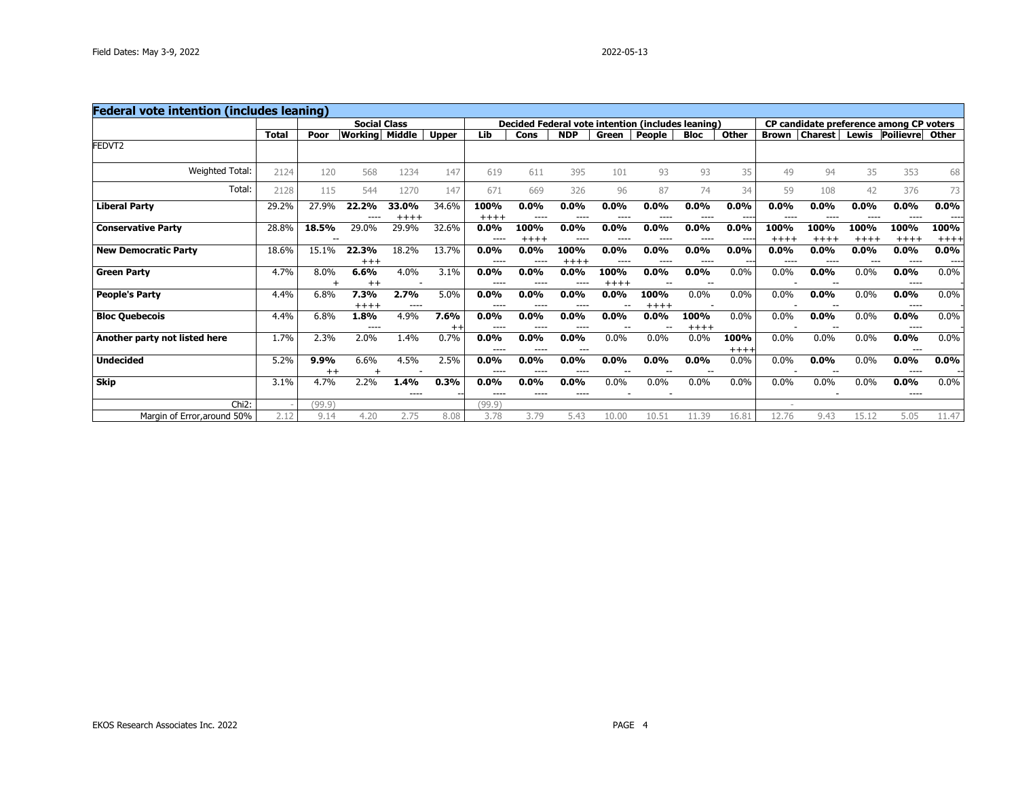| <b>Federal vote intention (includes leaning)</b> |              |                 |                  |                     |                         |                   |                   |                 |                 |                                                   |                |                |                      |                |                |                                         |                 |
|--------------------------------------------------|--------------|-----------------|------------------|---------------------|-------------------------|-------------------|-------------------|-----------------|-----------------|---------------------------------------------------|----------------|----------------|----------------------|----------------|----------------|-----------------------------------------|-----------------|
|                                                  |              |                 |                  | <b>Social Class</b> |                         |                   |                   |                 |                 | Decided Federal vote intention (includes leaning) |                |                |                      |                |                | CP candidate preference among CP voters |                 |
|                                                  | <b>Total</b> | Poor            | Working          | Middle              | <b>Upper</b>            | Lib               | Cons              | <b>NDP</b>      | Green           | People                                            | <b>Bloc</b>    | Other          | <b>Brown</b>         | <b>Charest</b> | Lewis          | <b>Poilievre</b>                        | Other           |
| FEDVT2                                           |              |                 |                  |                     |                         |                   |                   |                 |                 |                                                   |                |                |                      |                |                |                                         |                 |
| <b>Weighted Total:</b>                           | 2124         | 120             | 568              | 1234                | 147                     | 619               | 611               | 395             | 101             | 93                                                | 93             | 35             | 49                   | 94             | 35             | 353                                     | 68              |
| Total:                                           | 2128         | 115             | 544              | 1270                | 147                     | 671               | 669               | 326             | 96              | 87                                                | 74             | 34             | 59                   | 108            | 42             | 376                                     | 73              |
| <b>Liberal Party</b>                             | 29.2%        | 27.9%           | 22.2%            | 33.0%<br>$+++++$    | 34.6%                   | 100%<br>$++++$    | 0.0%<br>$---$     | $0.0\%$         | $0.0\%$         | 0.0%                                              | 0.0%<br>----   | 0.0%<br>----   | 0.0%                 | 0.0%<br>---    | $0.0\%$        | $0.0\%$<br>----                         | $0.0\%$<br>---- |
| <b>Conservative Party</b>                        | 28.8%        | 18.5%           | 29.0%            | 29.9%               | 32.6%                   | 0.0%<br>----      | 100%<br>$++++$    | $0.0\%$<br>---- | $0.0\%$<br>---- | 0.0%<br>----                                      | 0.0%<br>----   | 0.0%<br>---    | 100%<br>$+++++$      | 100%<br>$++++$ | 100%<br>$++++$ | 100%<br>$++++$                          | 100%<br>$+++$   |
| <b>New Democratic Party</b>                      | 18.6%        | 15.1%           | 22.3%<br>$^{++}$ | 18.2%               | 13.7%                   | 0.0%<br>$---$     | 0.0%<br>$---$     | 100%<br>$++++$  | $0.0\%$<br>---  | 0.0%<br>----                                      | 0.0%<br>$---$  | 0.0%<br>---    | $0.0\%$<br>$- - - -$ | $0.0\%$<br>--- | $0.0\%$        | 0.0%<br>----                            | $0.0\%$<br>---- |
| <b>Green Party</b>                               | 4.7%         | 8.0%            | 6.6%<br>$^{++}$  | 4.0%                | 3.1%                    | 0.0%<br>$- - - -$ | $0.0\%$<br>---    | $0.0\%$         | 100%<br>$++++$  | 0.0%                                              | 0.0%           | 0.0%           | 0.0%                 | 0.0%           | 0.0%           | 0.0%<br>----                            | $0.0\%$         |
| <b>People's Party</b>                            | 4.4%         | 6.8%            | 7.3%<br>$+++++$  | 2.7%<br>$- - - -$   | 5.0%                    | 0.0%<br>$- - - -$ | $0.0\%$<br>$---$  | 0.0%            | $0.0\%$         | 100%<br>$++++$                                    | $0.0\%$        | 0.0%           | 0.0%                 | 0.0%           | $0.0\%$        | 0.0%<br>----                            | $0.0\%$         |
| <b>Bloc Quebecois</b>                            | 4.4%         | 6.8%            | 1.8%<br>----     | 4.9%                | 7.6%<br>$^{\mathrm{+}}$ | 0.0%<br>----      | 0.0%<br>$- - - -$ | $0.0\%$<br>---- | $0.0\%$         | 0.0%                                              | 100%<br>$++++$ | 0.0%           | 0.0%                 | 0.0%           | $0.0\%$        | $0.0\%$<br>----                         | $0.0\%$         |
| Another party not listed here                    | 1.7%         | 2.3%            | 2.0%             | 1.4%                | 0.7%                    | 0.0%<br>$- - - -$ | 0.0%<br>$---$     | $0.0\%$<br>---  | 0.0%            | 0.0%                                              | 0.0%           | 100%<br>$++++$ | 0.0%                 | 0.0%           | 0.0%           | 0.0%<br>$---$                           | $0.0\%$         |
| <b>Undecided</b>                                 | 5.2%         | 9.9%<br>$^{++}$ | 6.6%             | 4.5%                | 2.5%                    | 0.0%<br>$- - - -$ | 0.0%<br>$---$     | $0.0\%$         | $0.0\%$         | 0.0%                                              | 0.0%           | 0.0%           | 0.0%                 | 0.0%           | 0.0%           | 0.0%<br>----                            | $0.0\%$         |
| <b>Skip</b>                                      | 3.1%         | 4.7%            | 2.2%             | 1.4%<br>----        | 0.3%                    | 0.0%<br>$---$     | 0.0%<br>$---$     | $0.0\%$<br>---- | 0.0%            | 0.0%                                              | 0.0%           | 0.0%           | 0.0%                 | 0.0%           | 0.0%           | $0.0\%$<br>----                         | $0.0\%$         |
| Chi <sub>2</sub> :                               |              | (99.9)          |                  |                     |                         | (99.9)            |                   |                 |                 |                                                   |                |                |                      |                |                |                                         |                 |
| Margin of Error, around 50%                      | 2.12         | 9.14            | 4.20             | 2.75                | 8.08                    | 3.78              | 3.79              | 5.43            | 10.00           | 10.51                                             | 11.39          | 16.81          | 12.76                | 9.43           | 15.12          | 5.05                                    | 11.47           |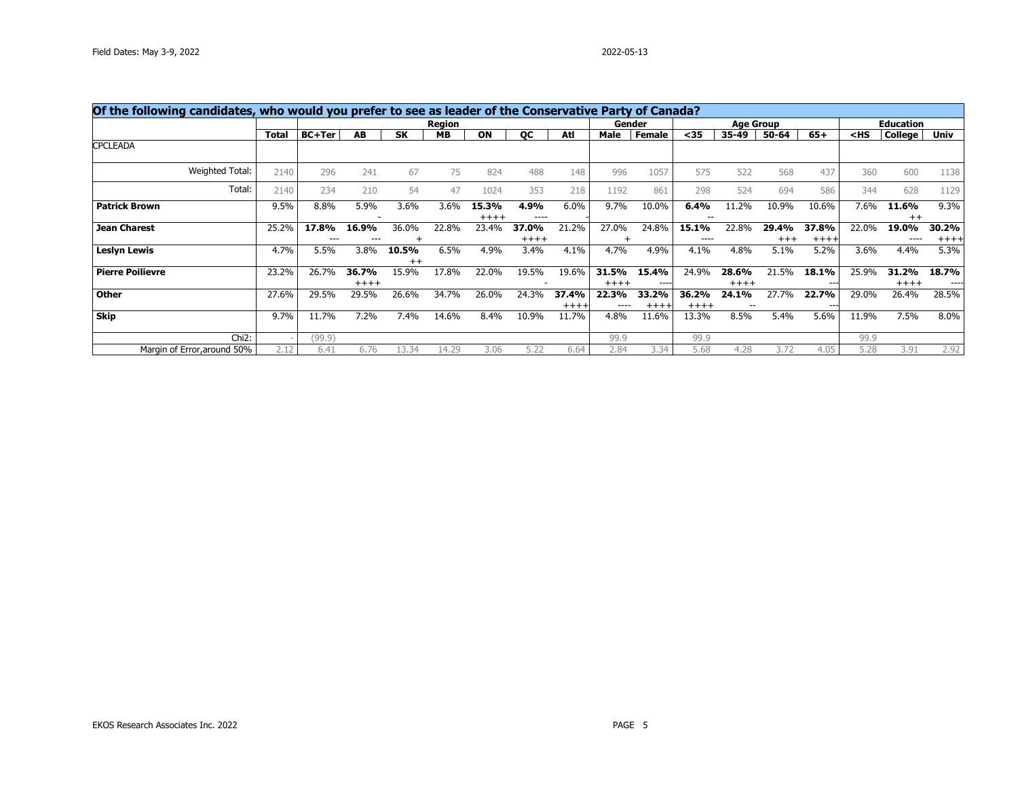| Of the following candidates, who would you prefer to see as leader of the Conservative Party of Canada? |              |               |                  |               |        |                  |                  |                    |                    |                  |                  |                  |                  |                 |        |                  |                 |
|---------------------------------------------------------------------------------------------------------|--------------|---------------|------------------|---------------|--------|------------------|------------------|--------------------|--------------------|------------------|------------------|------------------|------------------|-----------------|--------|------------------|-----------------|
|                                                                                                         |              |               |                  |               | Region |                  |                  |                    |                    | Gender           |                  |                  | <b>Age Group</b> |                 |        | <b>Education</b> |                 |
|                                                                                                         | <b>Total</b> | <b>BC+Ter</b> | AB               | <b>SK</b>     | MВ     | ON               | <b>OC</b>        | Atl                | Male               | Female           | $35$             | 35-49            | 50-64            | $65+$           | $<$ HS | College          | <b>Univ</b>     |
| <b>CPCLEADA</b>                                                                                         |              |               |                  |               |        |                  |                  |                    |                    |                  |                  |                  |                  |                 |        |                  |                 |
| Weighted Total:                                                                                         | 2140         | 296           | 241              | 67            | 75     | 824              | 488              | 148                | 996                | 1057             | 575              | 522              | 568              | 437             | 360    | 600              | 1138            |
| Total:                                                                                                  | 2140         | 234           | 210              | 54            | 47     | 1024             | 353              | 218                | 1192               | 861              | 298              | 524              | 694              | 586             | 344    | 628              | 1129            |
| <b>Patrick Brown</b>                                                                                    | 9.5%         | 8.8%          | 5.9%             | 3.6%          | 3.6%   | 15.3%<br>$+++++$ | 4.9%<br>----     | 6.0%               | 9.7%               | 10.0%            | 6.4%<br>--       | 11.2%            | 10.9%            | 10.6%           | 7.6%   | 11.6%<br>$++$    | 9.3%            |
| <b>Jean Charest</b>                                                                                     | 25.2%        | 17.8%         | 16.9%            | 36.0%         | 22.8%  | 23.4%            | 37.0%<br>$+++++$ | 21.2%              | 27.0%              | 24.8%            | 15.1%<br>----    | 22.8%            | 29.4%<br>$+++$   | 37.8%<br>$++++$ | 22.0%  | 19.0%<br>----    | 30.2%<br>$++++$ |
| <b>Leslyn Lewis</b>                                                                                     | 4.7%         | 5.5%          | 3.8%             | 10.5%<br>$++$ | 6.5%   | 4.9%             | 3.4%             | 4.1%               | 4.7%               | 4.9%             | 4.1%             | 4.8%             | 5.1%             | 5.2%            | 3.6%   | 4.4%             | 5.3%            |
| <b>Pierre Poilievre</b>                                                                                 | 23.2%        | 26.7%         | 36.7%<br>$+++++$ | 15.9%         | 17.8%  | 22.0%            | 19.5%            | 19.6%              | 31.5%<br>$+++++$   | 15.4%<br>----    | 24.9%            | 28.6%<br>$+++++$ | 21.5%            | 18.1%<br>$--$   | 25.9%  | 31.2%<br>$+++++$ | 18.7%<br>$---$  |
| <b>Other</b>                                                                                            | 27.6%        | 29.5%         | 29.5%            | 26.6%         | 34.7%  | 26.0%            | 24.3%            | 37.4%<br>$+ + + +$ | 22.3%<br>$- - - -$ | 33.2%<br>$+++++$ | 36.2%<br>$+++++$ | 24.1%<br>--      | 27.7%            | 22.7%<br>$--$   | 29.0%  | 26.4%            | 28.5%           |
| Skip                                                                                                    | 9.7%         | 11.7%         | 7.2%             | 7.4%          | 14.6%  | 8.4%             | 10.9%            | 11.7%              | 4.8%               | 11.6%            | 13.3%            | 8.5%             | 5.4%             | 5.6%            | 11.9%  | 7.5%             | 8.0%            |
| Chi <sub>2</sub> :                                                                                      |              | (99.9)        |                  |               |        |                  |                  |                    | 99.9               |                  | 99.9             |                  |                  |                 | 99.9   |                  |                 |
| Margin of Error, around 50%                                                                             | 2.12         | 6.41          | 6.76             | 13.34         | 14.29  | 3.06             | 5.22             | 6.64               | 2.84               | 3.34             | 5.68             | 4.28             | 3.72             | 4.05            | 5.28   | 3.91             | 2.92            |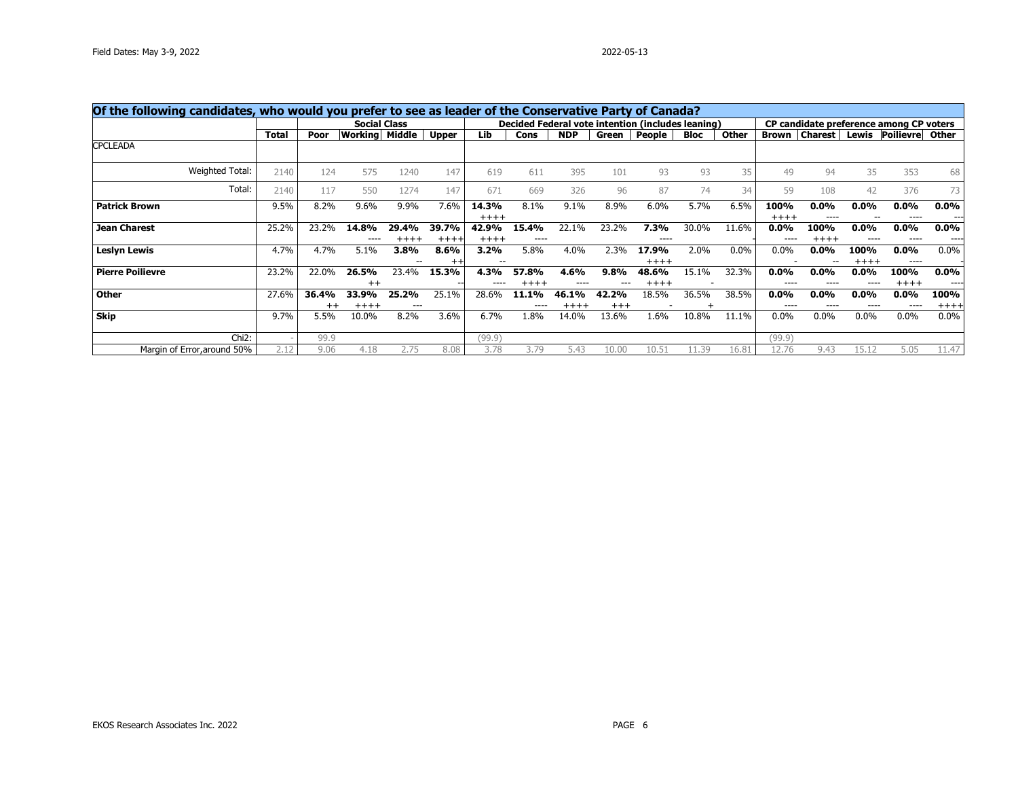| Of the following candidates, who would you prefer to see as leader of the Conservative Party of Canada? |              |                  |                  |                     |                         |                  |                 |                  |                |                                                   |       |         |                      |                      |                 |                                         |                  |
|---------------------------------------------------------------------------------------------------------|--------------|------------------|------------------|---------------------|-------------------------|------------------|-----------------|------------------|----------------|---------------------------------------------------|-------|---------|----------------------|----------------------|-----------------|-----------------------------------------|------------------|
|                                                                                                         |              |                  |                  | <b>Social Class</b> |                         |                  |                 |                  |                | Decided Federal vote intention (includes leaning) |       |         |                      |                      |                 | CP candidate preference among CP voters |                  |
|                                                                                                         | <b>Total</b> | Poor             | Working          | Middle              | Upper                   | Lib              | Cons            | <b>NDP</b>       | Green          | People                                            | Bloc  | Other   | <b>Brown</b>         | <b>Charest</b>       | Lewis           | Poilievre                               | Other            |
| <b>CPCLEADA</b>                                                                                         |              |                  |                  |                     |                         |                  |                 |                  |                |                                                   |       |         |                      |                      |                 |                                         |                  |
| Weighted Total:                                                                                         | 2140         | 124              | 575              | 1240                | 147                     | 619              | 611             | 395              | 101            | 93                                                | 93    | 35      | 49                   | 94                   | 35              | 353                                     | 68               |
| Total:                                                                                                  | 2140         | 117              | 550              | 1274                | 147                     | 671              | 669             | 326              | 96             | 87                                                | 74    | 34      | 59                   | 108                  | 42              | 376                                     | 73               |
| <b>Patrick Brown</b>                                                                                    | 9.5%         | 8.2%             | 9.6%             | 9.9%                | 7.6%                    | 14.3%<br>$+++++$ | 8.1%            | 9.1%             | 8.9%           | 6.0%                                              | 5.7%  | 6.5%    | 100%<br>$+++++$      | 0.0%<br>----         | $0.0\%$         | $0.0\%$<br>----                         | $0.0\%$<br>$---$ |
| <b>Jean Charest</b>                                                                                     | 25.2%        | 23.2%            | 14.8%            | 29.4%<br>$+++++$    | 39.7%<br>$++++$         | 42.9%<br>$++++$  | 15.4%<br>----   | 22.1%            | 23.2%          | 7.3%<br>----                                      | 30.0% | 11.6%   | $0.0\%$              | 100%<br>$+++++$      | $0.0\%$         | $0.0\%$<br>----                         | $0.0\%$<br>----  |
| <b>Leslyn Lewis</b>                                                                                     | 4.7%         | 4.7%             | 5.1%             | 3.8%                | 8.6%<br>$^{\mathrm{+}}$ | 3.2%<br>--       | 5.8%            | 4.0%             | 2.3%           | 17.9%<br>$+++++$                                  | 2.0%  | $0.0\%$ | $0.0\%$              | $0.0\%$              | 100%<br>$+++++$ | $0.0\%$<br>----                         | $0.0\%$          |
| <b>Pierre Poilievre</b>                                                                                 | 23.2%        | 22.0%            | 26.5%<br>$^{++}$ | 23.4%               | 15.3%                   | 4.3%<br>$- - -$  | 57.8%<br>$++++$ | 4.6%             | 9.8%           | 48.6%<br>$+++++$                                  | 15.1% | 32.3%   | $0.0\%$<br>$\cdots$  | $0.0\%$              | $0.0\%$         | 100%<br>$+++++$                         | $0.0\%$<br>$---$ |
| <b>Other</b>                                                                                            | 27.6%        | 36.4%<br>$^{++}$ | 33.9%<br>$+++++$ | 25.2%<br>---        | 25.1%                   | 28.6%            | 11.1%<br>$---$  | 46.1%<br>$+++++$ | 42.2%<br>$+++$ | 18.5%                                             | 36.5% | 38.5%   | $0.0\%$<br>$- - - -$ | $0.0\%$<br>$- - - -$ | $0.0\%$         | 0.0%<br>$---$                           | 100%<br>$++++$   |
| <b>Skip</b>                                                                                             | 9.7%         | 5.5%             | 10.0%            | 8.2%                | 3.6%                    | 6.7%             | 1.8%            | 14.0%            | 13.6%          | 1.6%                                              | 10.8% | 11.1%   | $0.0\%$              | $0.0\%$              | $0.0\%$         | 0.0%                                    | $0.0\%$          |
| Chi <sub>2</sub> :                                                                                      |              | 99.9             |                  |                     |                         | (99.9)           |                 |                  |                |                                                   |       |         | (99.9)               |                      |                 |                                         |                  |
| Margin of Error, around 50%                                                                             | 2.12         | 9.06             | 4.18             | 2.75                | 8.08                    | 3.78             | 3.79            | 5.43             | 10.00          | 10.51                                             | 11.39 | 16.81   | 12.76                | 9.43                 | 15.12           | 5.05                                    | 11.47            |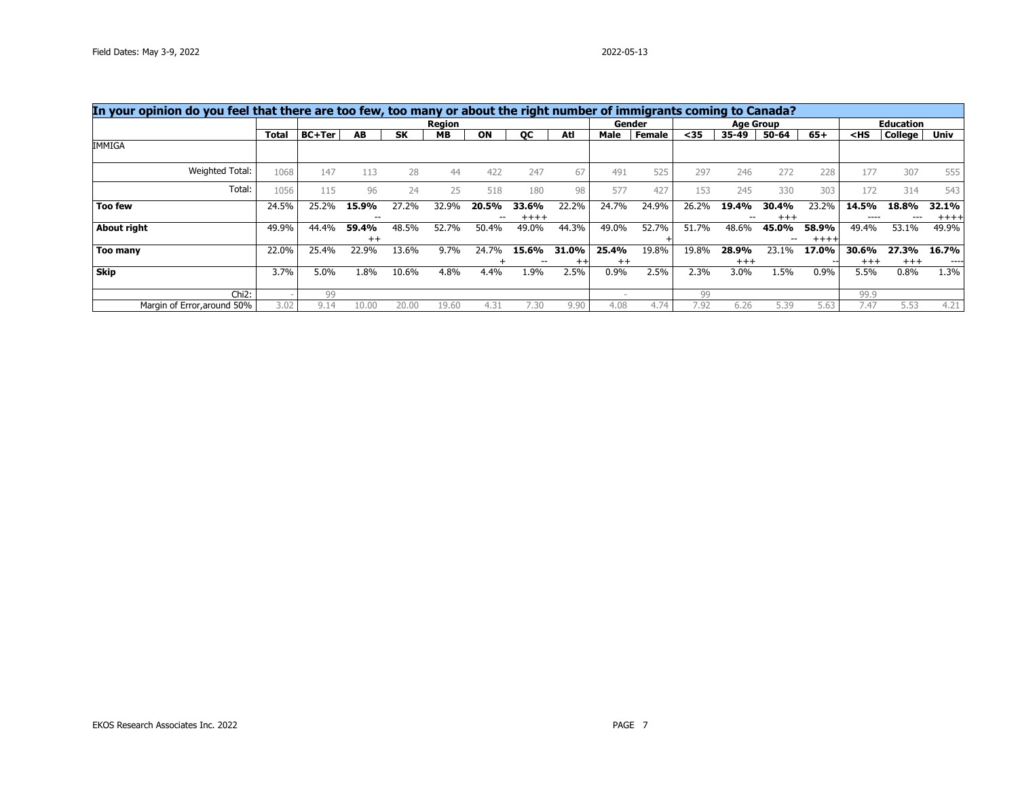| In your opinion do you feel that there are too few, too many or about the right number of immigrants coming to Canada? |       |               |         |           |               |       |         |         |         |               |       |       |                  |       |                                                |                  |        |
|------------------------------------------------------------------------------------------------------------------------|-------|---------------|---------|-----------|---------------|-------|---------|---------|---------|---------------|-------|-------|------------------|-------|------------------------------------------------|------------------|--------|
|                                                                                                                        |       |               |         |           | <b>Region</b> |       |         |         |         | Gender        |       |       | <b>Age Group</b> |       |                                                | <b>Education</b> |        |
|                                                                                                                        | Total | <b>BC+Ter</b> | AB.     | <b>SK</b> | <b>MB</b>     | ON    | OС      | Atl     | Male    | <b>Female</b> | $35$  | 35-49 | 50-64            | $65+$ | <hs< th=""><th>College</th><th>Univ</th></hs<> | College          | Univ   |
| IMMIGA                                                                                                                 |       |               |         |           |               |       |         |         |         |               |       |       |                  |       |                                                |                  |        |
| Weighted Total:                                                                                                        | 1068  | 147           | 113     | 28        | 44            | 422   | 247     | 67      | 491     | 525           | 297   | 246   | 272              | 228   | 177                                            | 307              | 555    |
| Total:                                                                                                                 | 1056  | 115           | 96      | 24        | 25            | 518   | 180     | 98      | 577     | 427           | 153   | 245   | 330              | 303   | 172                                            | 314              | 543    |
| <b>Too few</b>                                                                                                         | 24.5% | 25.2%         | 15.9%   | 27.2%     | 32.9%         | 20.5% | 33.6%   | 22.2%   | 24.7%   | 24.9%         | 26.2% | 19.4% | 30.4%            | 23.2% | 14.5%                                          | 18.8%            | 32.1%  |
|                                                                                                                        |       |               | $- -$   |           |               |       | $+++++$ |         |         |               |       | --    | $+++$            |       |                                                |                  | $++++$ |
| About right                                                                                                            | 49.9% | 44.4%         | 59.4%   | 48.5%     | 52.7%         | 50.4% | 49.0%   | 44.3%   | 49.0%   | 52.7%         | 51.7% | 48.6% | 45.0%            | 58.9% | 49.4%                                          | 53.1%            | 49.9%  |
|                                                                                                                        |       |               | $^{++}$ |           |               |       |         |         |         |               |       |       |                  | $+++$ |                                                |                  |        |
| Too many                                                                                                               | 22.0% | 25.4%         | 22.9%   | 13.6%     | 9.7%          | 24.7% | 15.6%   | 31.0%   | 25.4%   | 19.8%         | 19.8% | 28.9% | 23.1%            | 17.0% | 30.6%                                          | 27.3%            | 16.7%  |
|                                                                                                                        |       |               |         |           |               |       |         | $^{++}$ | $^{++}$ |               |       | $+++$ |                  |       | $^{+++}$                                       | $+++$            | ----   |
| Skip                                                                                                                   | 3.7%  | 5.0%          | 1.8%    | 10.6%     | 4.8%          | 4.4%  | 1.9%    | 2.5%    | 0.9%    | 2.5%          | 2.3%  | 3.0%  | 1.5%             | 0.9%  | 5.5%                                           | 0.8%             | 1.3%   |
| $Chi2$ :                                                                                                               |       | 99            |         |           |               |       |         |         |         |               | 99    |       |                  |       | 99.9                                           |                  |        |
| Margin of Error, around 50%                                                                                            | 3.02  | 9.14          | 10.00   | 20.00     | 19.60         | 4.31  | 7.30    | 9.90    | 4.08    | 4.74          | 7.92  | 6.26  | 5.39             | 5.63  | 7.47                                           | 5.53             | 4.21   |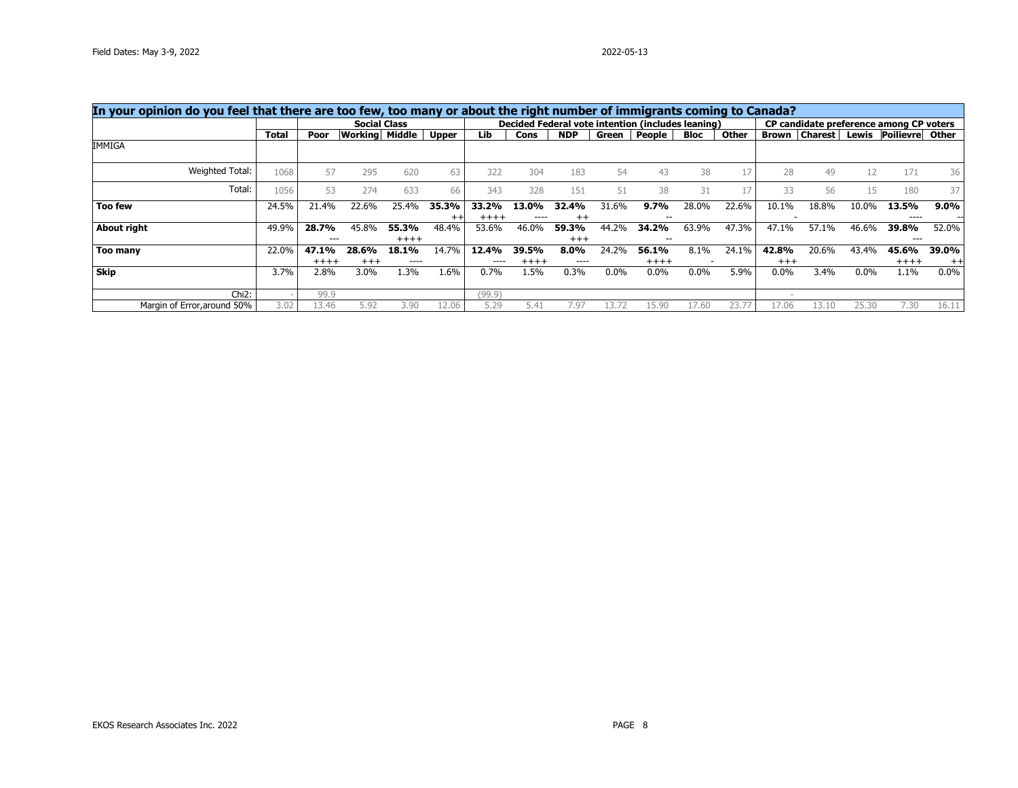| In your opinion do you feel that there are too few, too many or about the right number of immigrants coming to Canada? |       |         |                     |         |              |         |         |            |       |                                                   |         |       |              |                |         |                                         |         |
|------------------------------------------------------------------------------------------------------------------------|-------|---------|---------------------|---------|--------------|---------|---------|------------|-------|---------------------------------------------------|---------|-------|--------------|----------------|---------|-----------------------------------------|---------|
|                                                                                                                        |       |         | <b>Social Class</b> |         |              |         |         |            |       | Decided Federal vote intention (includes leaning) |         |       |              |                |         | CP candidate preference among CP voters |         |
|                                                                                                                        | Total | Poor    | Working             | Middle  | <b>Upper</b> | Lib     | Cons    | <b>NDP</b> | Green | People                                            | Bloc    | Other | <b>Brown</b> | <b>Charest</b> | Lewis   | Poilievre                               | Other   |
| IMMIGA                                                                                                                 |       |         |                     |         |              |         |         |            |       |                                                   |         |       |              |                |         |                                         |         |
| Weighted Total:                                                                                                        | 1068  | 57      | 295                 | 620     | 63           | 322     | 304     | 183        | 54    | 43                                                | 38      |       | 28           | 49             | 12      | 171                                     | 36      |
| Total:                                                                                                                 | 1056  | 53      | 274                 | 633     | 66           | 343     | 328     | 151        | 51    | 38                                                | 31      |       | 33           | 56             | 15      | 180                                     | 37      |
| <b>Too few</b>                                                                                                         | 24.5% | 21.4%   | 22.6%               | 25.4%   | 35.3%        | 33.2%   | 13.0%   | 32.4%      | 31.6% | 9.7%                                              | 28.0%   | 22.6% | 10.1%        | 18.8%          | 10.0%   | 13.5%                                   | $9.0\%$ |
|                                                                                                                        |       |         |                     |         | $^{++}$      | $+++++$ | ----    | $^{++}$    |       | $- -$                                             |         |       |              |                |         | ----                                    |         |
| About right                                                                                                            | 49.9% | 28.7%   | 45.8%               | 55.3%   | 48.4%        | 53.6%   | 46.0%   | 59.3%      | 44.2% | 34.2%                                             | 63.9%   | 47.3% | 47.1%        | 57.1%          | 46.6%   | 39.8%                                   | 52.0%   |
|                                                                                                                        |       | $---$   |                     | $+++++$ |              |         |         | $+++$      |       | $- -$                                             |         |       |              |                |         | $---$                                   |         |
| Too many                                                                                                               | 22.0% | 47.1%   | 28.6%               | 18.1%   | 14.7%        | 12.4%   | 39.5%   | $8.0\%$    | 24.2% | 56.1%                                             | 8.1%    | 24.1% | 42.8%        | 20.6%          | 43.4%   | 45.6%                                   | 39.0%   |
|                                                                                                                        |       | $+++++$ | $+++$               | ----    |              | ----    | $+++++$ | ----       |       | $+++++$                                           |         |       | $+++$        |                |         | $++++$                                  | $^{++}$ |
| Skip                                                                                                                   | 3.7%  | 2.8%    | 3.0%                | 1.3%    | 1.6%         | 0.7%    | 1.5%    | $0.3\%$    | 0.0%  | $0.0\%$                                           | $0.0\%$ | 5.9%  | $0.0\%$      | 3.4%           | $0.0\%$ | 1.1%                                    | $0.0\%$ |
| Chi <sub>2</sub> :                                                                                                     |       | 99.9    |                     |         |              | (99.9)  |         |            |       |                                                   |         |       |              |                |         |                                         |         |
| Margin of Error, around 50%                                                                                            | 3.02  | 13.46   | 5.92                | 3.90    | 12.06        | 5.29    | 5.41    | 7.97       | :3    | 15.90                                             | 7.60    | 23.7  | 17.06        | 13.10          | 25.30   | 7.30                                    | 16.11   |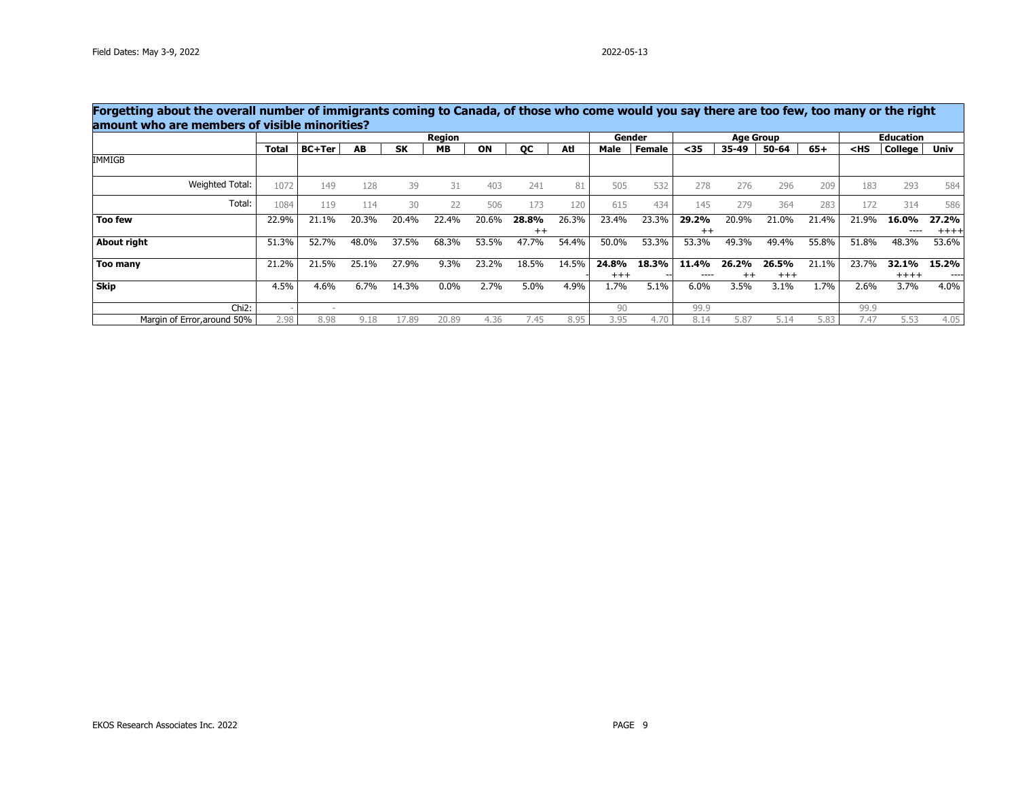$\sim$ 

|                             |       |               |       |           | Region  |       |                  |       |                | Gender |                  | <b>Age Group</b> |                   |       |        | <b>Education</b> |                 |
|-----------------------------|-------|---------------|-------|-----------|---------|-------|------------------|-------|----------------|--------|------------------|------------------|-------------------|-------|--------|------------------|-----------------|
|                             | Total | <b>BC+Ter</b> | AB    | <b>SK</b> | MВ      | ON    | OС               | Atl   | Male           | Female | <35              | 35-49            | 50-64             | $65+$ | $<$ HS | College          | Univ            |
| IMMIGB                      |       |               |       |           |         |       |                  |       |                |        |                  |                  |                   |       |        |                  |                 |
| Weighted Total:             | 1072  | 149           | 128   | 39        | 31      | 403   | 241              | 81    | 505            | 532    | 278              | 276              | 296               | 209   | 183    | 293              | 584             |
| Total:                      | 1084  | 119           | 114   | 30        | 22      | 506   | 173              | 120   | 615            | 434    | 145              | 279              | 364               | 283   | 172    | 314              | 586             |
| <b>Too few</b>              | 22.9% | 21.1%         | 20.3% | 20.4%     | 22.4%   | 20.6% | 28.8%<br>$^{++}$ | 26.3% | 23.4%          | 23.3%  | 29.2%<br>$^{++}$ | 20.9%            | 21.0%             | 21.4% | 21.9%  | 16.0%<br>----    | 27.2%<br>$++++$ |
| About right                 | 51.3% | 52.7%         | 48.0% | 37.5%     | 68.3%   | 53.5% | 47.7%            | 54.4% | 50.0%          | 53.3%  | 53.3%            | 49.3%            | 49.4%             | 55.8% | 51.8%  | 48.3%            | 53.6%           |
| Too many                    | 21.2% | 21.5%         | 25.1% | 27.9%     | $9.3\%$ | 23.2% | 18.5%            | 14.5% | 24.8%<br>$+++$ | 18.3%  | 11.4%<br>----    | 26.2%<br>$^{++}$ | 26.5%<br>$^{+++}$ | 21.1% | 23.7%  | 32.1%<br>$+++++$ | 15.2%<br>----   |
| <b>Skip</b>                 | 4.5%  | 4.6%          | 6.7%  | 14.3%     | $0.0\%$ | 2.7%  | 5.0%             | 4.9%  | 1.7%           | 5.1%   | 6.0%             | 3.5%             | 3.1%              | 1.7%  | 2.6%   | 3.7%             | 4.0%            |
| $Chi2$ :                    |       |               |       |           |         |       |                  |       | 90             |        | 99.9             |                  |                   |       | 99.9   |                  |                 |
| Margin of Error, around 50% | 2.98  | 8.98          | 9.18  | 17.89     | 20.89   | 4.36  | 7.45             | 8.95  | 3.95           | 4.70   | 8.14             | 5.87             | 5.14              | 5.83  | 7.47   | 5.53             | 4.05            |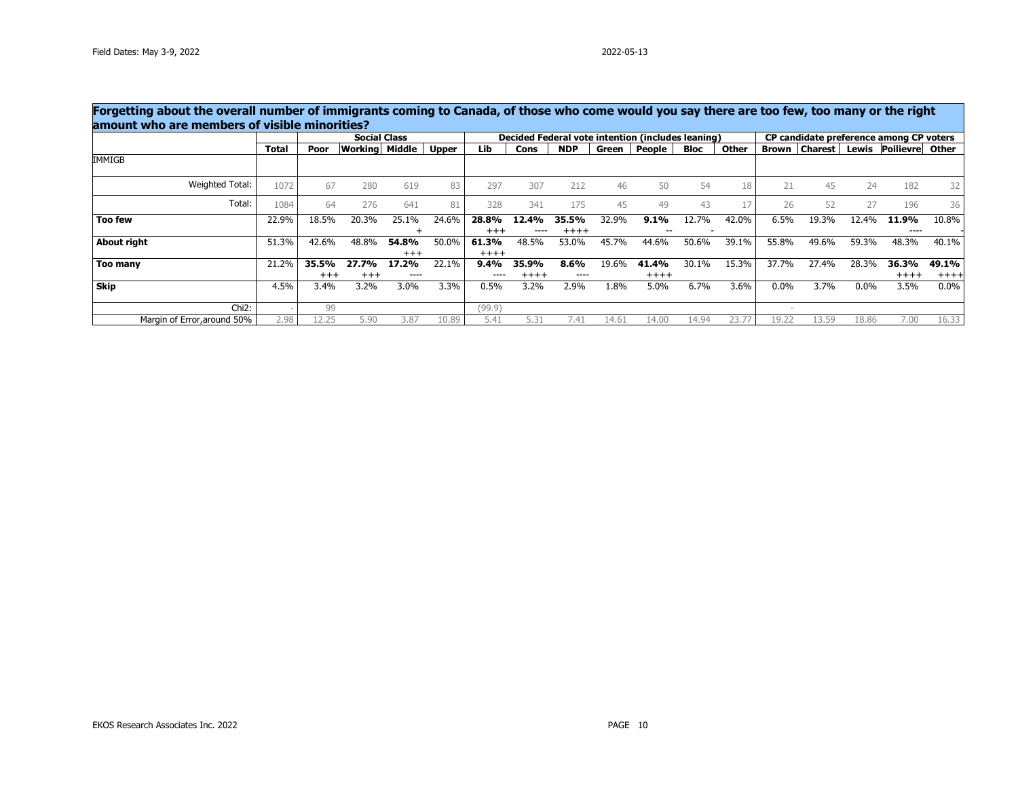$\mathcal{L}$ 

|                             |              |                   | <b>Social Class</b>   |                |              |                   |                  |                       |       | Decided Federal vote intention (includes leaning) |             |       |         | CP candidate preference among CP voters |       |                       |                 |
|-----------------------------|--------------|-------------------|-----------------------|----------------|--------------|-------------------|------------------|-----------------------|-------|---------------------------------------------------|-------------|-------|---------|-----------------------------------------|-------|-----------------------|-----------------|
|                             | <b>Total</b> | Poor              | <b>Working Middle</b> |                | <b>Upper</b> | Lib               | Cons             | <b>NDP</b>            | Green | People                                            | <b>Bloc</b> | Other | Brown   | <b>Charest</b>                          |       | Lewis Poilievre Other |                 |
| IMMIGB                      |              |                   |                       |                |              |                   |                  |                       |       |                                                   |             |       |         |                                         |       |                       |                 |
| Weighted Total:             | 1072         | 67                | 280                   | 619            | 83           | 297               | 307              | 212                   | 46    | 50                                                | 54          | 18    | 21      | 45                                      | 24    | 182                   | 32              |
| Total:                      | 1084         | 64                | 276                   | 641            | 81           | 328               | 341              | 175                   | 45    | 49                                                | 43          |       | 26      | 52                                      | 27    | 196                   | 36              |
| <b>Too few</b>              | 22.9%        | 18.5%             | 20.3%                 | 25.1%          | 24.6%        | 28.8%<br>$+++$    | 12.4%<br>----    | 35.5%<br>$++++$       | 32.9% | 9.1%                                              | 12.7%       | 42.0% | 6.5%    | 19.3%                                   | 12.4% | 11.9%<br>----         | 10.8%           |
| About right                 | 51.3%        | 42.6%             | 48.8%                 | 54.8%<br>$+++$ | 50.0%        | 61.3%<br>$+++++$  | 48.5%            | 53.0%                 | 45.7% | 44.6%                                             | 50.6%       | 39.1% | 55.8%   | 49.6%                                   | 59.3% | 48.3%                 | 40.1%           |
| Too many                    | 21.2%        | 35.5%<br>$^{+++}$ | 27.7%<br>$^{+++}$     | 17.2%<br>----  | 22.1%        | 9.4%<br>$- - - -$ | 35.9%<br>$+++++$ | 8.6%<br>$\frac{1}{2}$ | 19.6% | 41.4%<br>$+++++$                                  | 30.1%       | 15.3% | 37.7%   | 27.4%                                   | 28.3% | 36.3%<br>$+++++$      | 49.1%<br>$++++$ |
| <b>Skip</b>                 | 4.5%         | 3.4%              | 3.2%                  | 3.0%           | 3.3%         | 0.5%              | 3.2%             | 2.9%                  | 1.8%  | 5.0%                                              | 6.7%        | 3.6%  | $0.0\%$ | 3.7%                                    | 0.0%  | 3.5%                  | $0.0\%$         |
| $Chi2$ :                    |              | 99                |                       |                |              | (99.9)            |                  |                       |       |                                                   |             |       |         |                                         |       |                       |                 |
| Margin of Error, around 50% | 2.98         | 12.25             | 5.90                  | 3.87           | 10.89        | 5.41              | 5.31             | 7.41                  | 14.61 | 14.00                                             | 14.94       | 23.77 | 19.22   | 13.59                                   | 18.86 | 7.00                  | 16.33           |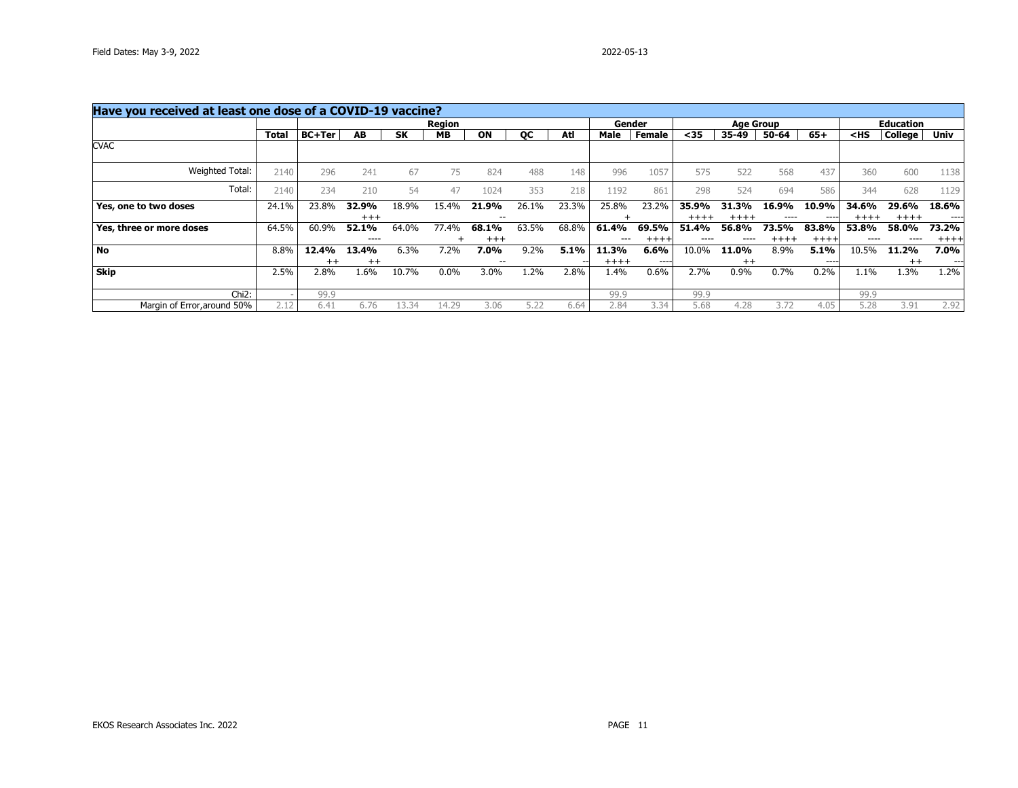| Have you received at least one dose of a COVID-19 vaccine? |              |               |         |           |               |         |           |       |        |        |           |                  |         |        |                                                |                  |        |
|------------------------------------------------------------|--------------|---------------|---------|-----------|---------------|---------|-----------|-------|--------|--------|-----------|------------------|---------|--------|------------------------------------------------|------------------|--------|
|                                                            |              |               |         |           | <b>Region</b> |         |           |       |        | Gender |           | <b>Age Group</b> |         |        |                                                | <b>Education</b> |        |
|                                                            | <b>Total</b> | <b>BC+Ter</b> | AB      | <b>SK</b> | <b>MB</b>     | ON      | <b>OC</b> | Atl   | Male   | Female | $35$      | 35-49            | 50-64   | $65+$  | <hs< th=""><th>College</th><th>Univ</th></hs<> | College          | Univ   |
| <b>CVAC</b>                                                |              |               |         |           |               |         |           |       |        |        |           |                  |         |        |                                                |                  |        |
| Weighted Total:                                            | 2140         | 296           | 241     | 67        | 75            | 824     | 488       | 148   | 996    | 1057   | 575       | 522              | 568     | 437    | 360                                            | 600              | 1138   |
| Total:                                                     | 2140         | 234           | 210     | 54        | 47            | 1024    | 353       | 218   | 1192   | 861    | 298       | 524              | 694     | 586    | 344                                            | 628              | 1129   |
| Yes, one to two doses                                      | 24.1%        | 23.8%         | 32.9%   | 18.9%     | 15.4%         | 21.9%   | 26.1%     | 23.3% | 25.8%  | 23.2%  | 35.9%     | 31.3%            | 16.9%   | 10.9%  | 34.6%                                          | 29.6%            | 18.6%  |
|                                                            |              |               | $+++$   |           |               | --      |           |       |        |        | $++++$    | $+++++$          |         | ---    | $+++++$                                        | $+++++$          | ----   |
| Yes, three or more doses                                   | 64.5%        | 60.9%         | 52.1%   | 64.0%     | 77.4%         | 68.1%   | 63.5%     | 68.8% | 61.4%  | 69.5%  | 51.4%     | 56.8%            | 73.5%   | 83.8%  | 53.8%                                          | 58.0%            | 73.2%  |
|                                                            |              |               | $---$   |           |               | $^{++}$ |           |       | ---    | $++++$ | $- - - -$ | ----             | $+++++$ | $++++$ | ----                                           | ----             | $++++$ |
| No                                                         | 8.8%         | 12.4%         | 13.4%   | 6.3%      | 7.2%          | 7.0%    | 9.2%      | 5.1%  | 11.3%  | 6.6%   | 10.0%     | 11.0%            | 8.9%    | 5.1%   | 10.5%                                          | 11.2%            | 7.0%   |
|                                                            |              | $^{++}$       | $^{++}$ |           |               |         |           |       | $++++$ | ----   |           | $^{++}$          |         | ----   |                                                | $^{++}$          | ---    |
| <b>Skip</b>                                                | 2.5%         | 2.8%          | 1.6%    | 10.7%     | $0.0\%$       | 3.0%    | .2%       | 2.8%  | 1.4%   | 0.6%   | 2.7%      | 0.9%             | 0.7%    | 0.2%   | $1.1\%$                                        | 1.3%             | 1.2%   |
| Chi <sub>2</sub> :                                         |              | 99.9          |         |           |               |         |           |       | 99.9   |        | 99.9      |                  |         |        | 99.9                                           |                  |        |
| Margin of Error, around 50%                                | 2.12         | 6.41          | 6.76    | 3<br>34   | 14.29         | 3.06    | 5.22      | 6.64  | 2.84   | 3.34   | 5.68      | 4.28             | 3.72    | 4.05   | 5.28                                           | 3.91             | 2.92   |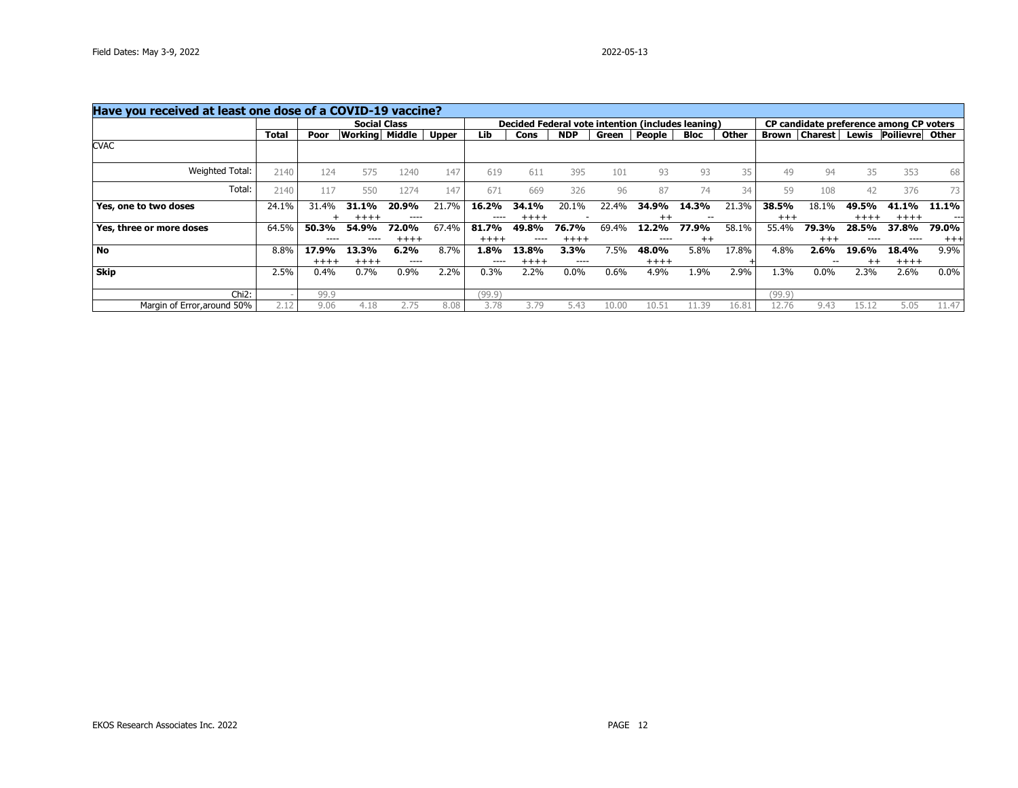| Have you received at least one dose of a COVID-19 vaccine? |       |        |                     |        |              |           |           |            |       |                                                   |             |       |        |                |         |                                         |          |
|------------------------------------------------------------|-------|--------|---------------------|--------|--------------|-----------|-----------|------------|-------|---------------------------------------------------|-------------|-------|--------|----------------|---------|-----------------------------------------|----------|
|                                                            |       |        | <b>Social Class</b> |        |              |           |           |            |       | Decided Federal vote intention (includes leaning) |             |       |        |                |         | CP candidate preference among CP voters |          |
|                                                            | Total | Poor   | Working             | Middle | <b>Upper</b> | Lib       | Cons      | <b>NDP</b> | Green | People                                            | <b>Bloc</b> | Other | Brown  | <b>Charest</b> | Lewis   | Poilievre                               | Other    |
| <b>CVAC</b>                                                |       |        |                     |        |              |           |           |            |       |                                                   |             |       |        |                |         |                                         |          |
| Weighted Total:                                            | 2140  | 124    | 575                 | 1240   | 147          | 619       | 611       | 395        | 101   | 93                                                | 93          | 35    | 49     | 94             | 35      | 353                                     | 68       |
| Total:                                                     | 2140  | 117    | 550                 | 1274   | 147          | 671       | 669       | 326        | 96    | 87                                                | 74          | 34    | 59     | 108            | 42      | 376                                     | 73       |
| Yes, one to two doses                                      | 24.1% | 31.4%  | 31.1%               | 20.9%  | 21.7%        | 16.2%     | 34.1%     | 20.1%      | 22.4% | 34.9%                                             | 14.3%       | 21.3% | 38.5%  | 18.1%          | 49.5%   | 41.1%                                   | 11.1%    |
|                                                            |       |        | $+++++$             | ----   |              | $- - - -$ | $++++$    |            |       | $^{++}$                                           |             |       | $+++$  |                | $+++++$ | $+++++$                                 | $---$    |
| Yes, three or more doses                                   | 64.5% | 50.3%  | 54.9%               | 72.0%  | 67.4%        | 81.7%     | 49.8%     | 76.7%      | 69.4% | 12.2%                                             | 77.9%       | 58.1% | 55.4%  | 79.3%          | 28.5%   | 37.8%                                   | 79.0%    |
|                                                            |       | ----   |                     | $++++$ |              | $+++++$   | $- - - -$ | $+++++$    |       | ----                                              | $^{++}$     |       |        | $+ + +$        |         | ----                                    | $^{+++}$ |
| No                                                         | 8.8%  | 17.9%  | 13.3%               | 6.2%   | 8.7%         | 1.8%      | 13.8%     | 3.3%       | 7.5%  | 48.0%                                             | 5.8%        | 17.8% | 4.8%   | 2.6%           | 19.6%   | 18.4%                                   | $9.9\%$  |
|                                                            |       | $++++$ | $++++$              | ----   |              | $- - - -$ | $+++++$   | ----       |       | $++++$                                            |             |       |        |                | $^{++}$ | $+++++$                                 |          |
| Skip                                                       | 2.5%  | 0.4%   | 0.7%                | 0.9%   | 2.2%         | 0.3%      | 2.2%      | $0.0\%$    | 0.6%  | 4.9%                                              | 1.9%        | 2.9%  | 1.3%   | 0.0%           | 2.3%    | 2.6%                                    | $0.0\%$  |
| $Chi2$ :                                                   |       | 99.9   |                     |        |              | (99.9)    |           |            |       |                                                   |             |       | (99.9) |                |         |                                         |          |
| Margin of Error, around 50%                                | 2.12  | 9.06   | 4.18                | 2.75   | 8.08         | 3.78      | 3.79      | 5.43       | 10.00 | 10.51                                             | 1.39        | 16.81 | 12.76  | 9.43           | 15.12   | 5.05                                    | 11.47    |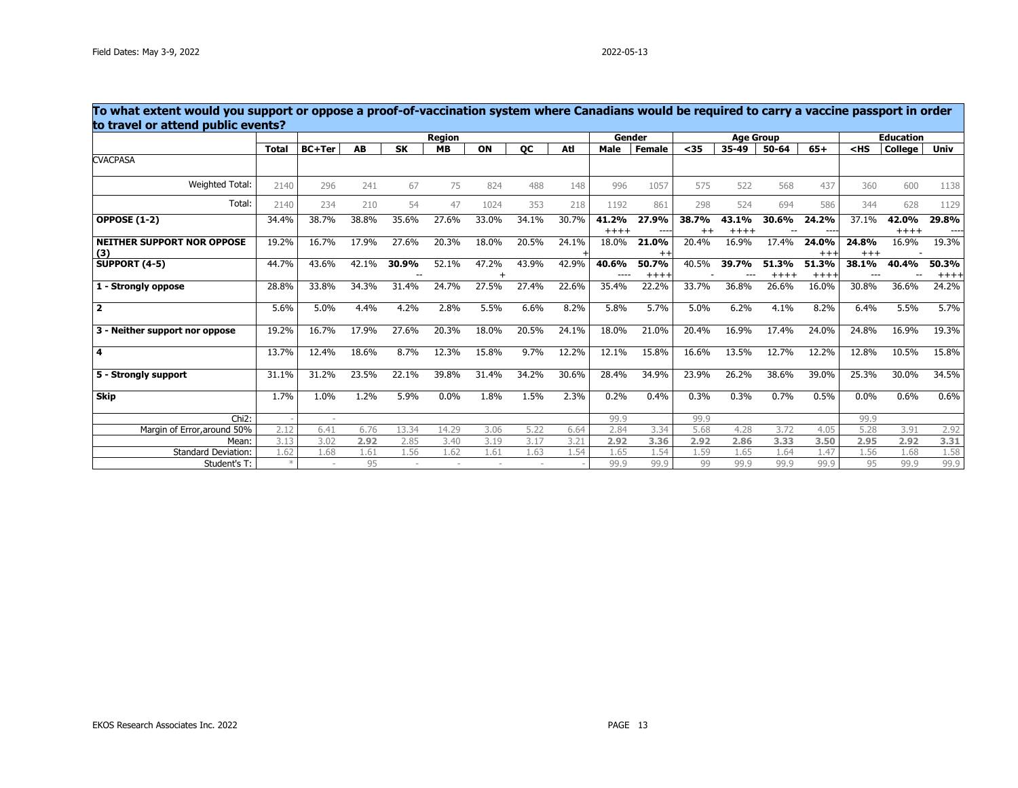| To what extent would you support or oppose a proof-of-vaccination system where Canadians would be required to carry a vaccine passport in order<br>to travel or attend public events? |              |               |       |           |               |       |           |       |        |                 |       |           |                  |                  |        |                  |                 |
|---------------------------------------------------------------------------------------------------------------------------------------------------------------------------------------|--------------|---------------|-------|-----------|---------------|-------|-----------|-------|--------|-----------------|-------|-----------|------------------|------------------|--------|------------------|-----------------|
|                                                                                                                                                                                       |              |               |       |           | <b>Region</b> |       |           |       |        | Gender          |       |           | <b>Age Group</b> |                  |        | <b>Education</b> |                 |
|                                                                                                                                                                                       | <b>Total</b> | <b>BC+Ter</b> | AB    | <b>SK</b> | <b>MB</b>     | ON    | <b>OC</b> | Atl   | Male   | <b>Female</b>   | $35$  | $35 - 49$ | $50 - 64$        | $65+$            | $<$ HS | College          | <b>Univ</b>     |
| <b>CVACPASA</b>                                                                                                                                                                       |              |               |       |           |               |       |           |       |        |                 |       |           |                  |                  |        |                  |                 |
| Weighted Total:                                                                                                                                                                       | 2140         | 296           | 241   | 67        | 75            | 824   | 488       | 148   | 996    | 1057            | 575   | 522       | 568              | 437              | 360    | 600              | 1138            |
| Total:                                                                                                                                                                                | 2140         | 234           | 210   | 54        | 47            | 1024  | 353       | 218   | 1192   | 861             | 298   | 524       | 694              | 586              | 344    | 628              | 1129            |
| <b>OPPOSE (1-2)</b>                                                                                                                                                                   | 34.4%        | 38.7%         | 38.8% | 35.6%     | 27.6%         | 33.0% | 34.1%     | 30.7% | 41.2%  | 27.9%           | 38.7% | 43.1%     | 30.6%            | 24.2%            | 37.1%  | 42.0%            | 29.8%           |
|                                                                                                                                                                                       |              |               |       |           |               |       |           |       | $++++$ |                 |       | $++++$    |                  |                  |        | $++++$           |                 |
| <b>NEITHER SUPPORT NOR OPPOSE</b>                                                                                                                                                     | 19.2%        | 16.7%         | 17.9% | 27.6%     | 20.3%         | 18.0% | 20.5%     | 24.1% | 18.0%  | 21.0%           | 20.4% | 16.9%     | 17.4%            | 24.0%            | 24.8%  | 16.9%            | 19.3%           |
| (3)                                                                                                                                                                                   |              |               |       |           |               |       |           |       |        | $^{\mathrm{+}}$ |       |           |                  | $+++$            | $+++$  |                  |                 |
| <b>SUPPORT (4-5)</b>                                                                                                                                                                  | 44.7%        | 43.6%         | 42.1% | 30.9%     | 52.1%         | 47.2% | 43.9%     | 42.9% | 40.6%  | 50.7%<br>$+++$  | 40.5% | 39.7%     | 51.3%<br>$++++$  | 51.3%<br>$+++++$ | 38.1%  | 40.4%            | 50.3%<br>$++++$ |
| 1 - Strongly oppose                                                                                                                                                                   | 28.8%        | 33.8%         | 34.3% | 31.4%     | 24.7%         | 27.5% | 27.4%     | 22.6% | 35.4%  | 22.2%           | 33.7% | 36.8%     | 26.6%            | 16.0%            | 30.8%  | 36.6%            | 24.2%           |
|                                                                                                                                                                                       |              |               |       |           |               |       |           |       |        |                 |       |           |                  |                  |        |                  |                 |
| $\overline{\mathbf{2}}$                                                                                                                                                               | 5.6%         | 5.0%          | 4.4%  | 4.2%      | 2.8%          | 5.5%  | 6.6%      | 8.2%  | 5.8%   | 5.7%            | 5.0%  | 6.2%      | 4.1%             | 8.2%             | 6.4%   | 5.5%             | 5.7%            |
| 3 - Neither support nor oppose                                                                                                                                                        | 19.2%        | 16.7%         | 17.9% | 27.6%     | 20.3%         | 18.0% | 20.5%     | 24.1% | 18.0%  | 21.0%           | 20.4% | 16.9%     | 17.4%            | 24.0%            | 24.8%  | 16.9%            | 19.3%           |
| $\overline{\mathbf{4}}$                                                                                                                                                               | 13.7%        | 12.4%         | 18.6% | 8.7%      | 12.3%         | 15.8% | 9.7%      | 12.2% | 12.1%  | 15.8%           | 16.6% | 13.5%     | 12.7%            | 12.2%            | 12.8%  | 10.5%            | 15.8%           |
| 5 - Strongly support                                                                                                                                                                  | 31.1%        | 31.2%         | 23.5% | 22.1%     | 39.8%         | 31.4% | 34.2%     | 30.6% | 28.4%  | 34.9%           | 23.9% | 26.2%     | 38.6%            | 39.0%            | 25.3%  | 30.0%            | 34.5%           |
| <b>Skip</b>                                                                                                                                                                           | 1.7%         | 1.0%          | 1.2%  | 5.9%      | 0.0%          | 1.8%  | 1.5%      | 2.3%  | 0.2%   | 0.4%            | 0.3%  | 0.3%      | 0.7%             | 0.5%             | 0.0%   | 0.6%             | 0.6%            |
| Chi <sub>2</sub> :                                                                                                                                                                    |              |               |       |           |               |       |           |       | 99.9   |                 | 99.9  |           |                  |                  | 99.9   |                  |                 |
| Margin of Error, around 50%                                                                                                                                                           | 2.12         | 6.41          | 6.76  | 13.34     | 14.29         | 3.06  | 5.22      | 6.64  | 2.84   | 3.34            | 5.68  | 4.28      | 3.72             | 4.05             | 5.28   | 3.91             | 2.92            |
| Mean:                                                                                                                                                                                 | 3.13         | 3.02          | 2.92  | 2.85      | 3.40          | 3.19  | 3.17      | 3.21  | 2.92   | 3.36            | 2.92  | 2.86      | 3.33             | 3.50             | 2.95   | 2.92             | 3.31            |
| <b>Standard Deviation:</b>                                                                                                                                                            | 1.62         | 1.68          | 1.61  | 1.56      | 1.62          | 1.61  | 1.63      | 1.54  | 1.65   | 1.54            | 1.59  | 1.65      | 1.64             | 1.47             | 1.56   | 1.68             | 1.58            |
| Student's T:                                                                                                                                                                          |              |               | 95    |           |               |       |           |       | 99.9   | 99.9            | 99    | 99.9      | 99.9             | 99.9             | 95     | 99.9             | 99.9            |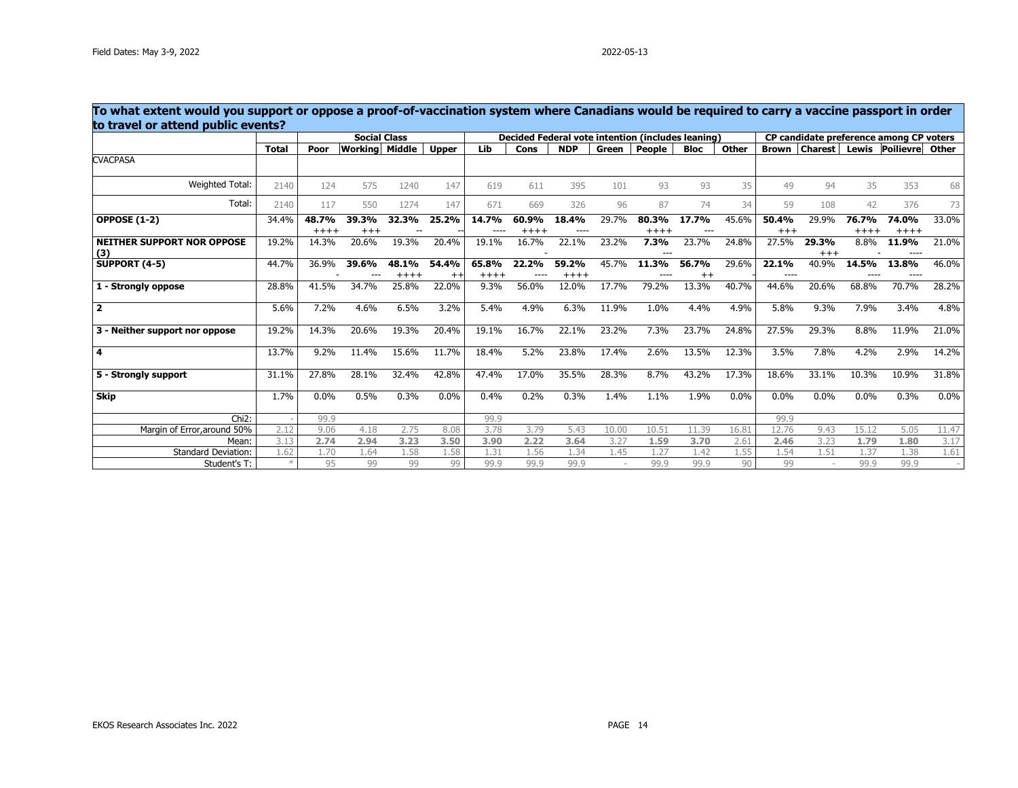|                                   | To what extent would you support or oppose a proof-of-vaccination system where Canadians would be required to carry a vaccine passport in order<br>to travel or attend public events?<br><b>Social Class</b><br>Decided Federal vote intention (includes leaning)<br>CP candidate preference among CP voters |       |                       |        |              |         |        |            |       |        |             |       |              |       |       |                               |       |
|-----------------------------------|--------------------------------------------------------------------------------------------------------------------------------------------------------------------------------------------------------------------------------------------------------------------------------------------------------------|-------|-----------------------|--------|--------------|---------|--------|------------|-------|--------|-------------|-------|--------------|-------|-------|-------------------------------|-------|
|                                   |                                                                                                                                                                                                                                                                                                              |       |                       |        |              |         |        |            |       |        |             |       |              |       |       |                               |       |
|                                   | <b>Total</b>                                                                                                                                                                                                                                                                                                 | Poor  | <b>Working Middle</b> |        | <b>Upper</b> | Lib     | Cons   | <b>NDP</b> | Green | People | <b>Bloc</b> | Other | <b>Brown</b> |       |       | Charest Lewis Poilievre Other |       |
| <b>CVACPASA</b>                   |                                                                                                                                                                                                                                                                                                              |       |                       |        |              |         |        |            |       |        |             |       |              |       |       |                               |       |
| Weighted Total:                   | 2140                                                                                                                                                                                                                                                                                                         | 124   | 575                   | 1240   | 147          | 619     | 611    | 395        | 101   | 93     | 93          | 35    | 49           | 94    | 35    | 353                           | 68    |
| Total:                            | 2140                                                                                                                                                                                                                                                                                                         | 117   | 550                   | 1274   | 147          | 671     | 669    | 326        | 96    | 87     | 74          | 34    | 59           | 108   | 42    | 376                           | 73    |
| <b>OPPOSE (1-2)</b>               | 34.4%                                                                                                                                                                                                                                                                                                        | 48.7% | 39.3%                 | 32.3%  | 25.2%        | 14.7%   | 60.9%  | 18.4%      | 29.7% | 80.3%  | 17.7%       | 45.6% | 50.4%        | 29.9% | 76.7% | 74.0%                         | 33.0% |
|                                   |                                                                                                                                                                                                                                                                                                              | $+++$ | $+++$                 |        |              |         | $++++$ |            |       | $++++$ |             |       | $+++$        |       | $+++$ | $++++$                        |       |
| <b>NEITHER SUPPORT NOR OPPOSE</b> | 19.2%                                                                                                                                                                                                                                                                                                        | 14.3% | 20.6%                 | 19.3%  | 20.4%        | 19.1%   | 16.7%  | 22.1%      | 23.2% | 7.3%   | 23.7%       | 24.8% | 27.5%        | 29.3% | 8.8%  | 11.9%                         | 21.0% |
| (3)                               |                                                                                                                                                                                                                                                                                                              |       |                       |        |              |         |        |            |       |        |             |       |              | $+++$ |       | $- - - -$                     |       |
| SUPPORT $(4-5)$                   | 44.7%                                                                                                                                                                                                                                                                                                        | 36.9% | 39.6%                 | 48.1%  | 54.4%        | 65.8%   | 22.2%  | 59.2%      | 45.7% | 11.3%  | 56.7%       | 29.6% | 22.1%        | 40.9% | 14.5% | 13.8%                         | 46.0% |
|                                   |                                                                                                                                                                                                                                                                                                              |       |                       | $++++$ | $^{++}$      | $++++$  |        | $+++++$    |       |        | $++$        |       |              |       |       |                               |       |
| 1 - Strongly oppose               | 28.8%                                                                                                                                                                                                                                                                                                        | 41.5% | 34.7%                 | 25.8%  | 22.0%        | $9.3\%$ | 56.0%  | 12.0%      | 17.7% | 79.2%  | 13.3%       | 40.7% | 44.6%        | 20.6% | 68.8% | 70.7%                         | 28.2% |
| $\overline{\mathbf{2}}$           | 5.6%                                                                                                                                                                                                                                                                                                         | 7.2%  | 4.6%                  | 6.5%   | 3.2%         | 5.4%    | 4.9%   | 6.3%       | 11.9% | 1.0%   | 4.4%        | 4.9%  | 5.8%         | 9.3%  | 7.9%  | 3.4%                          | 4.8%  |
| 3 - Neither support nor oppose    | 19.2%                                                                                                                                                                                                                                                                                                        | 14.3% | 20.6%                 | 19.3%  | 20.4%        | 19.1%   | 16.7%  | 22.1%      | 23.2% | 7.3%   | 23.7%       | 24.8% | 27.5%        | 29.3% | 8.8%  | 11.9%                         | 21.0% |
| 4                                 | 13.7%                                                                                                                                                                                                                                                                                                        | 9.2%  | 11.4%                 | 15.6%  | 11.7%        | 18.4%   | 5.2%   | 23.8%      | 17.4% | 2.6%   | 13.5%       | 12.3% | 3.5%         | 7.8%  | 4.2%  | 2.9%                          | 14.2% |
| 5 - Strongly support              | 31.1%                                                                                                                                                                                                                                                                                                        | 27.8% | 28.1%                 | 32.4%  | 42.8%        | 47.4%   | 17.0%  | 35.5%      | 28.3% | 8.7%   | 43.2%       | 17.3% | 18.6%        | 33.1% | 10.3% | 10.9%                         | 31.8% |
| <b>Skip</b>                       | 1.7%                                                                                                                                                                                                                                                                                                         | 0.0%  | 0.5%                  | 0.3%   | 0.0%         | 0.4%    | 0.2%   | 0.3%       | 1.4%  | 1.1%   | 1.9%        | 0.0%  | 0.0%         | 0.0%  | 0.0%  | 0.3%                          | 0.0%  |
| Chi <sub>2</sub> :                |                                                                                                                                                                                                                                                                                                              | 99.9  |                       |        |              | 99.9    |        |            |       |        |             |       | 99.9         |       |       |                               |       |
| Margin of Error, around 50%       | 2.12                                                                                                                                                                                                                                                                                                         | 9.06  | 4.18                  | 2.75   | 8.08         | 3.78    | 3.79   | 5.43       | 10.00 | 10.51  | 11.39       | 16.81 | 12.76        | 9.43  | 15.12 | 5.05                          | 11.47 |
| Mean:                             | 3.13                                                                                                                                                                                                                                                                                                         | 2.74  | 2.94                  | 3.23   | 3.50         | 3.90    | 2.22   | 3.64       | 3.27  | 1.59   | 3.70        | 2.61  | 2.46         | 3.23  | 1.79  | 1.80                          | 3.17  |
| <b>Standard Deviation:</b>        | 1.62                                                                                                                                                                                                                                                                                                         | 1.70  | 1.64                  | 1.58   | 1.58         | 1.31    | 1.56   | 1.34       | 1.45  | 1.27   | 1.42        | 1.55  | 1.54         | 1.51  | 1.37  | 1.38                          | 1.61  |
| Student's T:                      |                                                                                                                                                                                                                                                                                                              | 95    | 99                    | 99     | 99           | 99.9    | 99.9   | 99.9       |       | 99.9   | 99.9        | 90    | 99           |       | 99.9  | 99.9                          |       |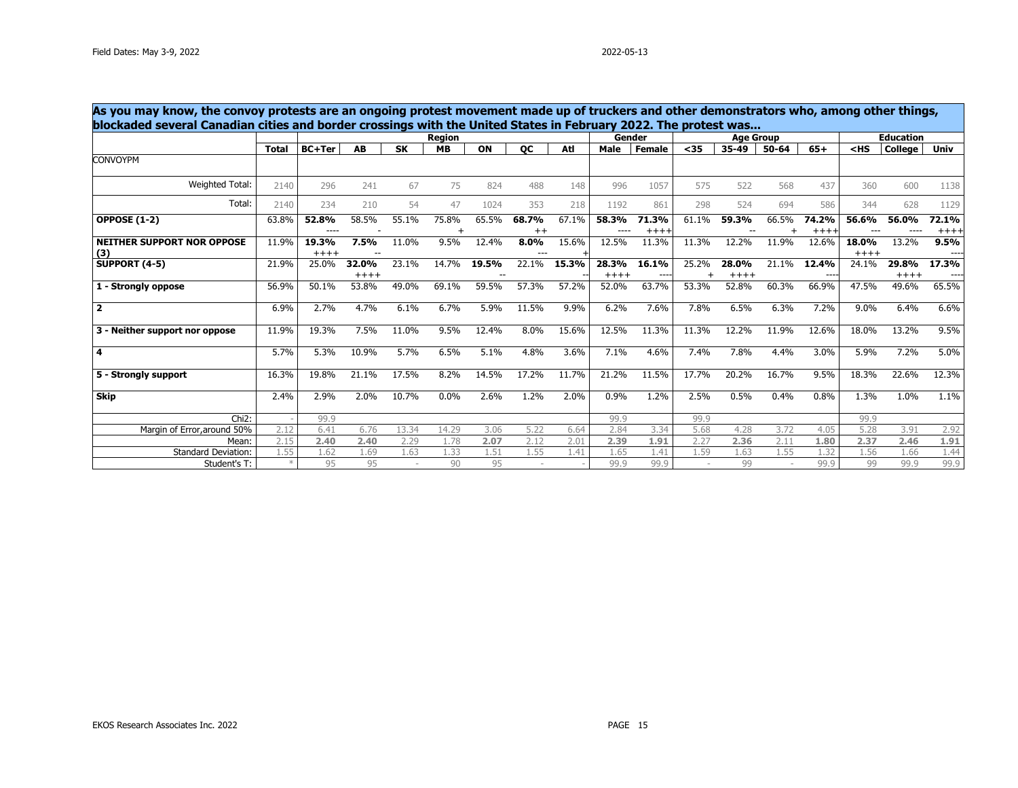| blockaded several Canadian cities and border crossings with the United States in February 2022. The protest was |              |                  |                 |           |               |             |               |       |                  | Gender         |                    |                  |       |                 |                  | <b>Education</b> |                 |
|-----------------------------------------------------------------------------------------------------------------|--------------|------------------|-----------------|-----------|---------------|-------------|---------------|-------|------------------|----------------|--------------------|------------------|-------|-----------------|------------------|------------------|-----------------|
|                                                                                                                 |              |                  |                 |           | <b>Region</b> |             |               |       |                  |                |                    | <b>Age Group</b> |       |                 |                  |                  |                 |
| <b>CONVOYPM</b>                                                                                                 | <b>Total</b> | <b>BC+Ter</b>    | AB              | <b>SK</b> | <b>MB</b>     | ON          | <b>OC</b>     | Atl   | Male             | <b>Female</b>  | $35$               | 35-49            | 50-64 | $65+$           | $<$ HS           | <b>College</b>   | Univ            |
|                                                                                                                 |              |                  |                 |           |               |             |               |       |                  |                |                    |                  |       |                 |                  |                  |                 |
| Weighted Total:                                                                                                 | 2140         | 296              | 241             | 67        | 75            | 824         | 488           | 148   | 996              | 1057           | 575                | 522              | 568   | 437             | 360              | 600              | 1138            |
| Total:                                                                                                          | 2140         | 234              | 210             | 54        | 47            | 1024        | 353           | 218   | 1192             | 861            | 298                | 524              | 694   | 586             | 344              | 628              | 1129            |
| <b>OPPOSE (1-2)</b>                                                                                             | 63.8%        | 52.8%<br>$---$   | 58.5%           | 55.1%     | 75.8%         | 65.5%       | 68.7%<br>$++$ | 67.1% | 58.3%<br>----    | 71.3%<br>$+++$ | 61.1%              | 59.3%            | 66.5% | 74.2%<br>$++++$ | 56.6%<br>---     | 56.0%<br>----    | 72.1%<br>$++++$ |
| <b>NEITHER SUPPORT NOR OPPOSE</b><br>(3)                                                                        | 11.9%        | 19.3%<br>$+++++$ | 7.5%            | 11.0%     | 9.5%          | 12.4%       | 8.0%          | 15.6% | 12.5%            | 11.3%          | 11.3%              | 12.2%            | 11.9% | 12.6%           | 18.0%<br>$+++++$ | 13.2%            | 9.5%<br>----    |
| <b>SUPPORT (4-5)</b>                                                                                            | 21.9%        | 25.0%            | 32.0%<br>$++++$ | 23.1%     | 14.7%         | 19.5%<br>-- | 22.1%         | 15.3% | 28.3%<br>$+++++$ | 16.1%<br>---   | 25.2%<br>$\ddot{}$ | 28.0%<br>$+++++$ | 21.1% | 12.4%<br>$---$  | 24.1%            | 29.8%<br>$++++$  | 17.3%<br>----   |
| 1 - Strongly oppose                                                                                             | 56.9%        | 50.1%            | 53.8%           | 49.0%     | 69.1%         | 59.5%       | 57.3%         | 57.2% | 52.0%            | 63.7%          | 53.3%              | 52.8%            | 60.3% | 66.9%           | 47.5%            | 49.6%            | 65.5%           |
| $\overline{2}$                                                                                                  | 6.9%         | 2.7%             | 4.7%            | 6.1%      | 6.7%          | 5.9%        | 11.5%         | 9.9%  | 6.2%             | 7.6%           | 7.8%               | 6.5%             | 6.3%  | 7.2%            | 9.0%             | 6.4%             | 6.6%            |
| 3 - Neither support nor oppose                                                                                  | 11.9%        | 19.3%            | 7.5%            | 11.0%     | 9.5%          | 12.4%       | 8.0%          | 15.6% | 12.5%            | 11.3%          | 11.3%              | 12.2%            | 11.9% | 12.6%           | 18.0%            | 13.2%            | 9.5%            |
| 4                                                                                                               | 5.7%         | 5.3%             | 10.9%           | 5.7%      | 6.5%          | 5.1%        | 4.8%          | 3.6%  | 7.1%             | 4.6%           | 7.4%               | 7.8%             | 4.4%  | 3.0%            | 5.9%             | 7.2%             | 5.0%            |
| 5 - Strongly support                                                                                            | 16.3%        | 19.8%            | 21.1%           | 17.5%     | 8.2%          | 14.5%       | 17.2%         | 11.7% | 21.2%            | 11.5%          | 17.7%              | 20.2%            | 16.7% | 9.5%            | 18.3%            | 22.6%            | 12.3%           |
| Skip                                                                                                            | 2.4%         | 2.9%             | 2.0%            | 10.7%     | 0.0%          | 2.6%        | 1.2%          | 2.0%  | 0.9%             | 1.2%           | 2.5%               | 0.5%             | 0.4%  | 0.8%            | 1.3%             | 1.0%             | 1.1%            |
| $Chi2$ :                                                                                                        |              | 99.9             |                 |           |               |             |               |       | 99.9             |                | 99.9               |                  |       |                 | 99.9             |                  |                 |
| Margin of Error, around 50%                                                                                     | 2.12         | 6.41             | 6.76            | 13.34     | 14.29         | 3.06        | 5.22          | 6.64  | 2.84             | 3.34           | 5.68               | 4.28             | 3.72  | 4.05            | 5.28             | 3.91             | 2.92            |
| Mean:                                                                                                           | 2.15         | 2.40             | 2.40            | 2.29      | 1.78          | 2.07        | 2.12          | 2.01  | 2.39             | 1.91           | 2.27               | 2.36             | 2.11  | 1.80            | 2.37             | 2.46             | 1.91            |
| <b>Standard Deviation:</b>                                                                                      | 1.55         | 1.62             | 1.69            | 1.63      | 1.33          | 1.51        | 1.55          | 1.41  | 1.65             | 1.41           | 1.59               | 1.63             | 1.55  | 1.32            | 1.56             | 1.66             | 1.44            |
| Student's T:                                                                                                    |              | 95               | 95              |           | 90            | 95          |               |       | 99.9             | 99.9           |                    | 99               |       | 99.9            | 99               | 99.9             | 99.9            |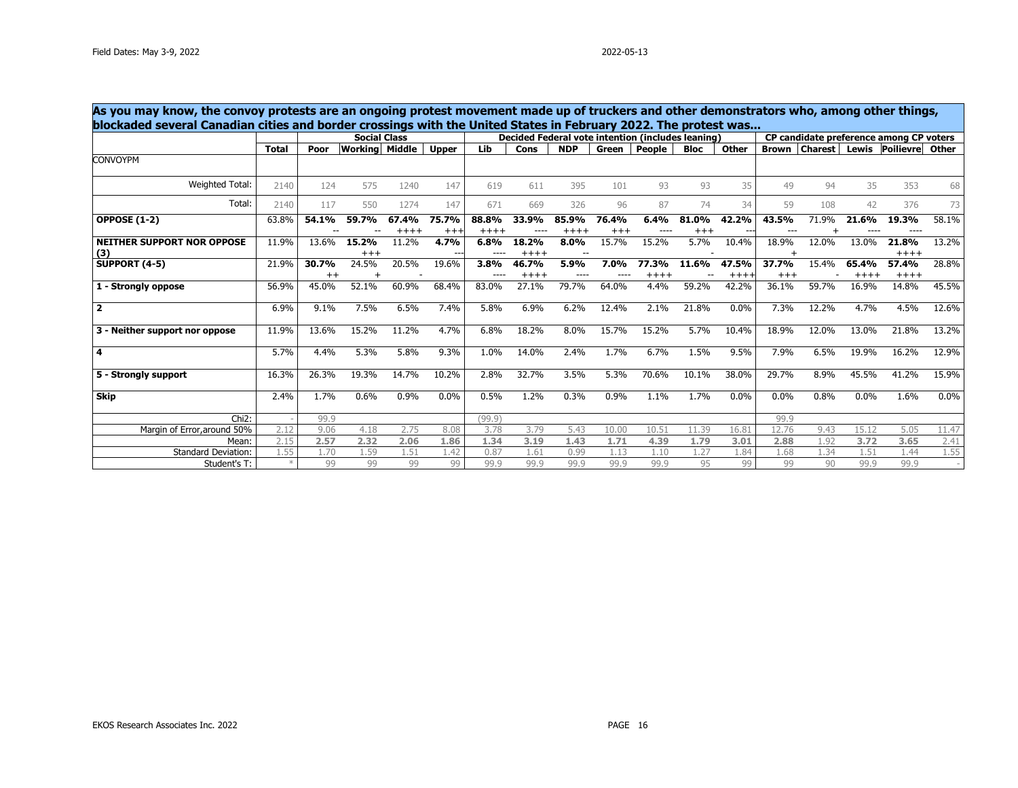| As you may know, the convoy protests are an ongoing protest movement made up of truckers and other demonstrators who, among other things,<br>blockaded several Canadian cities and border crossings with the United States in February 2022. The protest was |              |               |                       |                  |                   |                 |                  |                  |                   |                                                   |                |                |                  |       |                  |                                              |       |
|--------------------------------------------------------------------------------------------------------------------------------------------------------------------------------------------------------------------------------------------------------------|--------------|---------------|-----------------------|------------------|-------------------|-----------------|------------------|------------------|-------------------|---------------------------------------------------|----------------|----------------|------------------|-------|------------------|----------------------------------------------|-------|
|                                                                                                                                                                                                                                                              |              |               | <b>Social Class</b>   |                  |                   |                 |                  |                  |                   | Decided Federal vote intention (includes leaning) |                |                |                  |       |                  | CP candidate preference among CP voters      |       |
|                                                                                                                                                                                                                                                              | <b>Total</b> | Poor          | <b>Working</b> Middle |                  | <b>Upper</b>      | Lib             | Cons             | <b>NDP</b>       | Green             | People                                            | <b>Bloc</b>    | <b>Other</b>   |                  |       |                  | <b>Brown   Charest   Lewis   Poilievre  </b> | Other |
| <b>CONVOYPM</b>                                                                                                                                                                                                                                              |              |               |                       |                  |                   |                 |                  |                  |                   |                                                   |                |                |                  |       |                  |                                              |       |
| Weighted Total:                                                                                                                                                                                                                                              | 2140         | 124           | 575                   | 1240             | 147               | 619             | 611              | 395              | 101               | 93                                                | 93             | 35             | 49               | 94    | 35               | 353                                          | 68    |
| Total:                                                                                                                                                                                                                                                       | 2140         | 117           | 550                   | 1274             | 147               | 671             | 669              | 326              | 96                | 87                                                | 74             | 34             | 59               | 108   | 42               | 376                                          | 73    |
| <b>OPPOSE (1-2)</b>                                                                                                                                                                                                                                          | 63.8%        | 54.1%         | 59.7%                 | 67.4%<br>$+++++$ | 75.7%<br>$^{+++}$ | 88.8%<br>$++++$ | 33.9%<br>----    | 85.9%<br>$+++++$ | 76.4%<br>$^{+++}$ | 6.4%<br>----                                      | 81.0%<br>$+++$ | 42.2%          | 43.5%            | 71.9% | 21.6%            | 19.3%<br>$- - - -$                           | 58.1% |
| <b>NEITHER SUPPORT NOR OPPOSE</b><br>(3)                                                                                                                                                                                                                     | 11.9%        | 13.6%         | 15.2%<br>$+++$        | 11.2%            | 4.7%              | 6.8%<br>----    | 18.2%<br>$+++++$ | 8.0%<br>$\sim$   | 15.7%             | 15.2%                                             | 5.7%           | 10.4%          | 18.9%            | 12.0% | 13.0%            | 21.8%<br>$++++$                              | 13.2% |
| <b>SUPPORT (4-5)</b>                                                                                                                                                                                                                                         | 21.9%        | 30.7%<br>$++$ | 24.5%                 | 20.5%            | 19.6%             | 3.8%<br>----    | 46.7%<br>$+++++$ | 5.9%             | 7.0%              | 77.3%<br>$+++$                                    | 11.6%          | 47.5%<br>$+++$ | 37.7%<br>$^{++}$ | 15.4% | 65.4%<br>$+++++$ | 57.4%<br>$++++$                              | 28.8% |
| 1 - Strongly oppose                                                                                                                                                                                                                                          | 56.9%        | 45.0%         | 52.1%                 | 60.9%            | 68.4%             | 83.0%           | 27.1%            | 79.7%            | 64.0%             | 4.4%                                              | 59.2%          | 42.2%          | 36.1%            | 59.7% | 16.9%            | 14.8%                                        | 45.5% |
| $\overline{2}$                                                                                                                                                                                                                                               | 6.9%         | 9.1%          | 7.5%                  | 6.5%             | 7.4%              | 5.8%            | 6.9%             | 6.2%             | 12.4%             | 2.1%                                              | 21.8%          | 0.0%           | 7.3%             | 12.2% | 4.7%             | 4.5%                                         | 12.6% |
| 3 - Neither support nor oppose                                                                                                                                                                                                                               | 11.9%        | 13.6%         | 15.2%                 | 11.2%            | 4.7%              | 6.8%            | 18.2%            | 8.0%             | 15.7%             | 15.2%                                             | 5.7%           | 10.4%          | 18.9%            | 12.0% | 13.0%            | 21.8%                                        | 13.2% |
| 4                                                                                                                                                                                                                                                            | 5.7%         | 4.4%          | 5.3%                  | 5.8%             | 9.3%              | 1.0%            | 14.0%            | 2.4%             | 1.7%              | 6.7%                                              | 1.5%           | 9.5%           | 7.9%             | 6.5%  | 19.9%            | 16.2%                                        | 12.9% |
| 5 - Strongly support                                                                                                                                                                                                                                         | 16.3%        | 26.3%         | 19.3%                 | 14.7%            | 10.2%             | 2.8%            | 32.7%            | 3.5%             | 5.3%              | 70.6%                                             | 10.1%          | 38.0%          | 29.7%            | 8.9%  | 45.5%            | 41.2%                                        | 15.9% |
| <b>Skip</b>                                                                                                                                                                                                                                                  | 2.4%         | 1.7%          | 0.6%                  | 0.9%             | 0.0%              | 0.5%            | 1.2%             | 0.3%             | 0.9%              | 1.1%                                              | 1.7%           | 0.0%           | 0.0%             | 0.8%  | 0.0%             | 1.6%                                         | 0.0%  |
| $Chi2$ :                                                                                                                                                                                                                                                     |              | 99.9          |                       |                  |                   | (99.9)          |                  |                  |                   |                                                   |                |                | 99.9             |       |                  |                                              |       |
| Margin of Error, around 50%                                                                                                                                                                                                                                  | 2.12         | 9.06          | 4.18                  | 2.75             | 8.08              | 3.78            | 3.79             | 5.43             | 10.00             | 10.51                                             | 11.39          | 16.81          | 12.76            | 9.43  | 15.12            | 5.05                                         | 11.47 |
| Mean:                                                                                                                                                                                                                                                        | 2.15         | 2.57          | 2.32                  | 2.06             | 1.86              | 1.34            | 3.19             | 1.43             | 1.71              | 4.39                                              | 1.79           | 3.01           | 2.88             | 1.92  | 3.72             | 3.65                                         | 2.41  |
| <b>Standard Deviation:</b>                                                                                                                                                                                                                                   | 1.55         | 1.70          | 1.59                  | 1.51             | 1.42              | 0.87            | 1.61             | 0.99             | 1.13              | 1.10                                              | 1.27           | 1.84           | 1.68             | 1.34  | 1.51             | 1.44                                         | 1.55  |
| Student's T:                                                                                                                                                                                                                                                 |              | 99            | 99                    | 99               | 99                | 99.9            | 99.9             | 99.9             | 99.9              | 99.9                                              | 95             | 99             | 99               | 90    | 99.9             | 99.9                                         |       |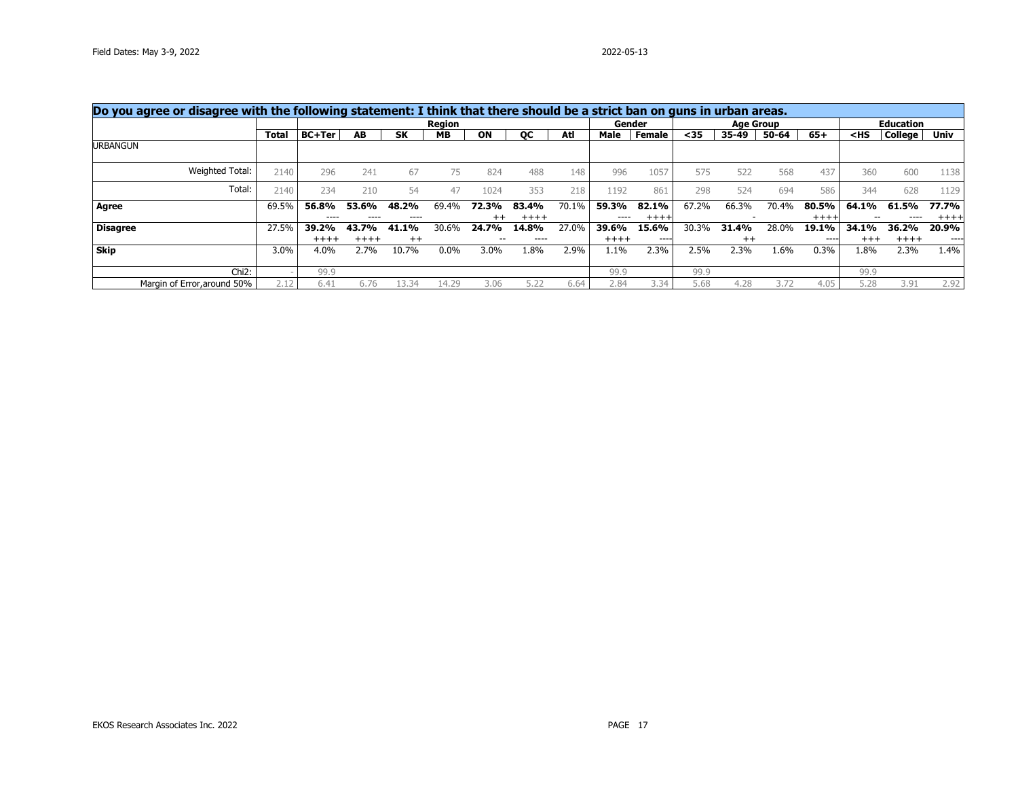|                             | Do you agree or disagree with the following statement: I think that there should be a strict ban on guns in urban areas.<br><b>Age Group</b><br>Gender |               |               |               |               |                  |                  |       |               |                 |       |         |       |                  |          |                  |                 |
|-----------------------------|--------------------------------------------------------------------------------------------------------------------------------------------------------|---------------|---------------|---------------|---------------|------------------|------------------|-------|---------------|-----------------|-------|---------|-------|------------------|----------|------------------|-----------------|
|                             |                                                                                                                                                        |               |               |               | <b>Region</b> |                  |                  |       |               |                 |       |         |       |                  |          | <b>Education</b> |                 |
|                             | Total                                                                                                                                                  | <b>BC+Ter</b> | AB            | <b>SK</b>     | MB.           | ON               | OС               | Atl   | Male          | Female          | <35   | 35-49   | 50-64 | $65+$            | $<$ HS   | <b>College</b>   | Univ            |
| <b>URBANGUN</b>             |                                                                                                                                                        |               |               |               |               |                  |                  |       |               |                 |       |         |       |                  |          |                  |                 |
| Weighted Total:             | 2140                                                                                                                                                   | 296           | 241           | 67            | 75            | 824              | 488              | 148   | 996           | 1057            | 575   | 522     | 568   | 437              | 360      | 600              | 1138            |
| Total:                      | 2140                                                                                                                                                   | 234           | 210           | 54            | 47            | 1024             | 353              | 218   | 1192          | 861             | 298   | 524     | 694   | 586              | 344      | 628              | 1129            |
| Agree                       | 69.5%                                                                                                                                                  | 56.8%         | 53.6%<br>---- | 48.2%<br>---- | 69.4%         | 72.3%            | 83.4%            | 70.1% | 59.3%<br>---- | 82.1%<br>$++++$ | 67.2% | 66.3%   | 70.4% | 80.5%<br>$+++++$ | 64.1%    | 61.5%            | 77.7%           |
| <b>Disagree</b>             | 27.5%                                                                                                                                                  | ----<br>39.2% | 43.7%         | 41.1%         | 30.6%         | $^{++}$<br>24.7% | $+++++$<br>14.8% | 27.0% | 39.6%         | 15.6%           | 30.3% | 31.4%   | 28.0% | 19.1%            | 34.1%    | 36.2%            | $++++$<br>20.9% |
|                             |                                                                                                                                                        | $+++++$       | $++++$        | $^{++}$       |               |                  | ----             |       | $+++++$       | ----            |       | $^{++}$ |       | $- - - -$        | $^{+++}$ | $+++++$          | ----            |
| Skip                        | 3.0%                                                                                                                                                   | 4.0%          | 2.7%          | 10.7%         | $0.0\%$       | 3.0%             | 1.8%             | 2.9%  | 1.1%          | 2.3%            | 2.5%  | 2.3%    | 1.6%  | 0.3%             | 1.8%     | 2.3%             | 1.4%            |
| $Chi2$ :                    |                                                                                                                                                        | 99.9          |               |               |               |                  |                  |       | 99.9          |                 | 99.9  |         |       |                  | 99.9     |                  |                 |
| Margin of Error, around 50% | 2.12                                                                                                                                                   | 6.41          | 6.76          | 34            | 14.29         | 3.06             | 5.22             | 6.64  | 2.84          | 3.34            | 5.68  | 4.28    | 3.72  | 4.05             | 5.28     | 3.91             | 2.92            |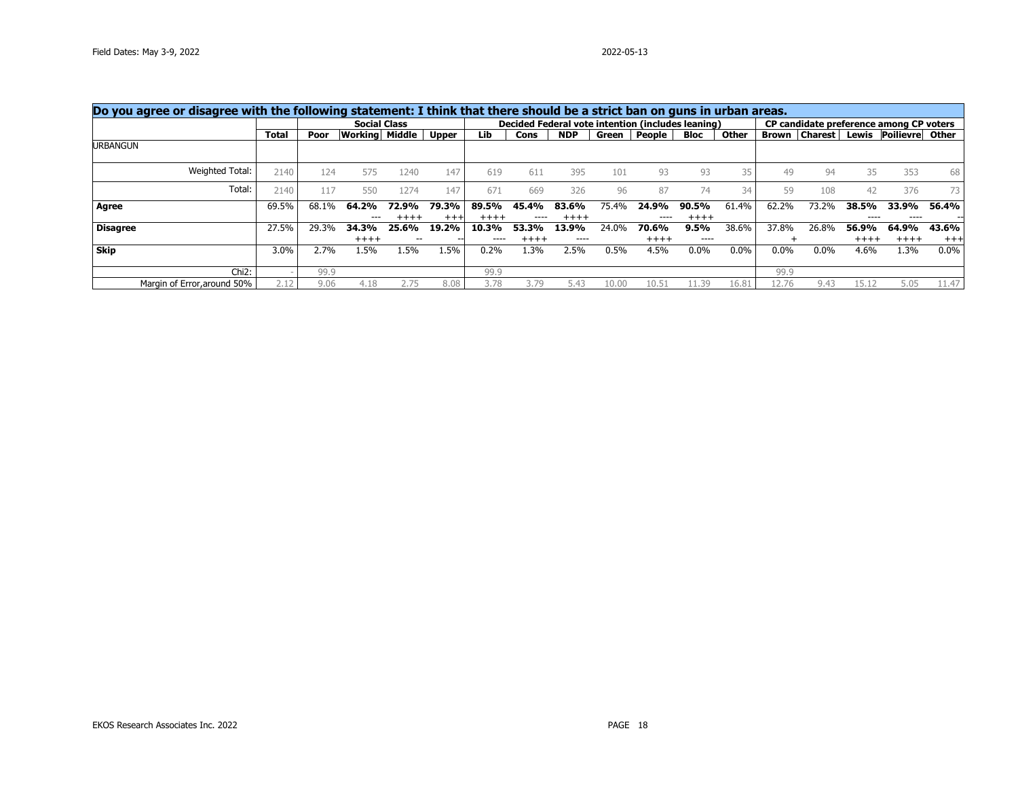| Do you agree or disagree with the following statement: I think that there should be a strict ban on guns in urban areas.<br>Decided Federal vote intention (includes leaning)<br>CP candidate preference among CP voters |       |       |                     |       |          |         |           |            |       |         |         |         |         |                          |           |                       |         |
|--------------------------------------------------------------------------------------------------------------------------------------------------------------------------------------------------------------------------|-------|-------|---------------------|-------|----------|---------|-----------|------------|-------|---------|---------|---------|---------|--------------------------|-----------|-----------------------|---------|
|                                                                                                                                                                                                                          |       |       | <b>Social Class</b> |       |          |         |           |            |       |         |         |         |         |                          |           |                       |         |
|                                                                                                                                                                                                                          | Total | Poor  | Working Middle      |       | Upper    | Lib     | Cons      | <b>NDP</b> | Green | People  | Bloc    | Other   |         | <b>Brown   Charest  </b> |           | Lewis Poilievre Other |         |
| <b>URBANGUN</b>                                                                                                                                                                                                          |       |       |                     |       |          |         |           |            |       |         |         |         |         |                          |           |                       |         |
| Weighted Total:                                                                                                                                                                                                          | 2140  | 124   | 575                 | 1240  | 147      | 619     | 611       | 395        | 101   | 93      | 93      | 35      | 49      | 94                       | 35        | 353                   | 68      |
| Total:                                                                                                                                                                                                                   | 2140  | 117   | 550                 | 1274  | 147      | 671     | 669       | 326        | 96    | 87      | 74      | 34      | 59      | 108                      | 42        | 376                   | 73      |
| Agree                                                                                                                                                                                                                    | 69.5% | 68.1% | 64.2%               | 72.9% | 79.3%    | 89.5%   | 45.4%     | 83.6%      | 75.4% | 24.9%   | 90.5%   | 61.4%   | 62.2%   | 73.2%                    | 38.5%     | 33.9%                 | 56.4%   |
|                                                                                                                                                                                                                          |       |       | $---$               |       | $^{+++}$ | $+++++$ | $- - - -$ | $^{++++}$  |       | ----    | $++++$  |         |         |                          | $- - - -$ | ----                  | --      |
| <b>Disagree</b>                                                                                                                                                                                                          | 27.5% | 29.3% | 34.3%               | 25.6% | 19.2%    | 10.3%   | 53.3%     | 13.9%      | 24.0% | 70.6%   | 9.5%    | 38.6%   | 37.8%   | 26.8%                    | 56.9%     | 64.9%                 | 43.6%   |
|                                                                                                                                                                                                                          |       |       | $++++$              |       |          |         | $++++$    | ----       |       | $+++++$ | ----    |         |         |                          | $+++++$   | $+++++$               | $+++$   |
| Skip                                                                                                                                                                                                                     | 3.0%  | 2.7%  | 1.5%                | 1.5%  | 1.5%     | 0.2%    | 1.3%      | 2.5%       | 0.5%  | 4.5%    | $0.0\%$ | $0.0\%$ | $0.0\%$ | $0.0\%$                  | 4.6%      | 1.3%                  | $0.0\%$ |
| $Chi2$ :                                                                                                                                                                                                                 |       | 99.9  |                     |       |          | 99.9    |           |            |       |         |         |         | 99.9    |                          |           |                       |         |
| Margin of Error, around 50%                                                                                                                                                                                              | 2.12  | 9.06  | 4.18                |       | 8.08     | 3.78    | 3.79      | 5.43       | 10.00 | 10.51   | 1.39    | 16.81   | 12.76   | 9.43                     | 15.1      | 5.05                  | 11.47   |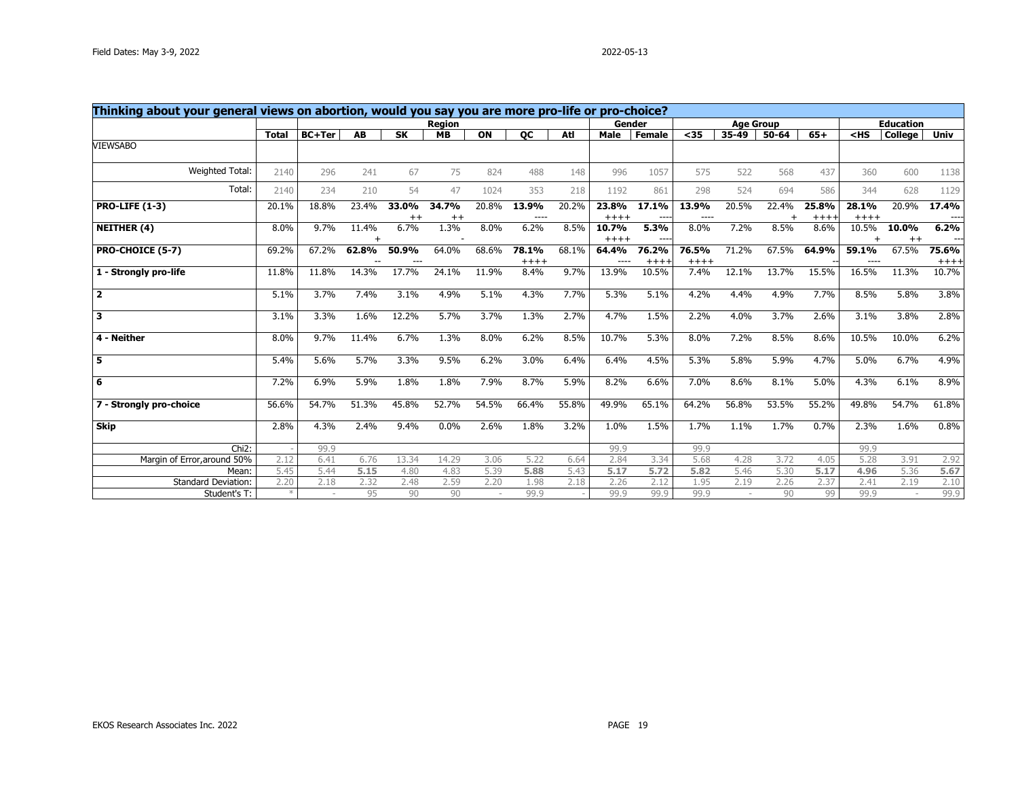| Thinking about your general views on abortion, would you say you are more pro-life or pro-choice? |               |               |       |                  |                  |       |                  |       |                  |                  |                    |                          |           |                 |                  |                  |                |
|---------------------------------------------------------------------------------------------------|---------------|---------------|-------|------------------|------------------|-------|------------------|-------|------------------|------------------|--------------------|--------------------------|-----------|-----------------|------------------|------------------|----------------|
|                                                                                                   |               |               |       |                  | <b>Region</b>    |       |                  |       | Gender           |                  |                    | <b>Age Group</b>         |           |                 |                  | <b>Education</b> |                |
|                                                                                                   | <b>Total</b>  | <b>BC+Ter</b> | AB    | <b>SK</b>        | <b>MB</b>        | ON    | <b>OC</b>        | Atl   | <b>Male</b>      | <b>Female</b>    | $35$               | 35-49                    | $50 - 64$ | $65+$           | $<$ HS           | <b>College</b>   | <b>Univ</b>    |
| <b>VIEWSABO</b>                                                                                   |               |               |       |                  |                  |       |                  |       |                  |                  |                    |                          |           |                 |                  |                  |                |
| Weighted Total:                                                                                   | 2140          | 296           | 241   | 67               | 75               | 824   | 488              | 148   | 996              | 1057             | 575                | 522                      | 568       | 437             | 360              | 600              | 1138           |
| Total:                                                                                            | 2140          | 234           | 210   | 54               | 47               | 1024  | 353              | 218   | 1192             | 861              | 298                | 524                      | 694       | 586             | 344              | 628              | 1129           |
| <b>PRO-LIFE (1-3)</b>                                                                             | 20.1%         | 18.8%         | 23.4% | 33.0%<br>$^{++}$ | 34.7%<br>$^{++}$ | 20.8% | 13.9%<br>----    | 20.2% | 23.8%<br>$+++++$ | 17.1%<br>$- - -$ | 13.9%<br>$- - - -$ | 20.5%                    | 22.4%     | 25.8%<br>$++++$ | 28.1%<br>$+++++$ | 20.9%            | 17.4%<br>----  |
| <b>NEITHER (4)</b>                                                                                | 8.0%          | 9.7%          | 11.4% | 6.7%             | 1.3%             | 8.0%  | 6.2%             | 8.5%  | 10.7%<br>$+++++$ | 5.3%<br>----     | 8.0%               | 7.2%                     | 8.5%      | 8.6%            | 10.5%            | 10.0%<br>$++$    | 6.2%           |
| PRO-CHOICE (5-7)                                                                                  | 69.2%         | 67.2%         | 62.8% | 50.9%            | 64.0%            | 68.6% | 78.1%<br>$+++++$ | 68.1% | 64.4%<br>----    | 76.2%<br>$++++$  | 76.5%<br>$++++$    | 71.2%                    | 67.5%     | 64.9%           | 59.1%            | 67.5%            | 75.6%<br>$+++$ |
| 1 - Strongly pro-life                                                                             | 11.8%         | 11.8%         | 14.3% | 17.7%            | 24.1%            | 11.9% | 8.4%             | 9.7%  | 13.9%            | 10.5%            | 7.4%               | 12.1%                    | 13.7%     | 15.5%           | 16.5%            | 11.3%            | 10.7%          |
| $\overline{\mathbf{2}}$                                                                           | 5.1%          | 3.7%          | 7.4%  | 3.1%             | 4.9%             | 5.1%  | 4.3%             | 7.7%  | 5.3%             | 5.1%             | 4.2%               | 4.4%                     | 4.9%      | 7.7%            | 8.5%             | 5.8%             | 3.8%           |
| $\overline{\mathbf{3}}$                                                                           | 3.1%          | 3.3%          | 1.6%  | 12.2%            | 5.7%             | 3.7%  | 1.3%             | 2.7%  | 4.7%             | 1.5%             | 2.2%               | 4.0%                     | 3.7%      | 2.6%            | 3.1%             | 3.8%             | 2.8%           |
| 4 - Neither                                                                                       | 8.0%          | 9.7%          | 11.4% | 6.7%             | 1.3%             | 8.0%  | 6.2%             | 8.5%  | 10.7%            | 5.3%             | 8.0%               | 7.2%                     | 8.5%      | 8.6%            | 10.5%            | 10.0%            | 6.2%           |
| 5                                                                                                 | 5.4%          | 5.6%          | 5.7%  | 3.3%             | 9.5%             | 6.2%  | 3.0%             | 6.4%  | 6.4%             | 4.5%             | 5.3%               | 5.8%                     | 5.9%      | 4.7%            | 5.0%             | 6.7%             | 4.9%           |
| 6                                                                                                 | 7.2%          | 6.9%          | 5.9%  | 1.8%             | 1.8%             | 7.9%  | 8.7%             | 5.9%  | 8.2%             | 6.6%             | 7.0%               | 8.6%                     | 8.1%      | 5.0%            | 4.3%             | 6.1%             | 8.9%           |
| 7 - Strongly pro-choice                                                                           | 56.6%         | 54.7%         | 51.3% | 45.8%            | 52.7%            | 54.5% | 66.4%            | 55.8% | 49.9%            | 65.1%            | 64.2%              | 56.8%                    | 53.5%     | 55.2%           | 49.8%            | 54.7%            | 61.8%          |
| <b>Skip</b>                                                                                       | 2.8%          | 4.3%          | 2.4%  | 9.4%             | 0.0%             | 2.6%  | 1.8%             | 3.2%  | 1.0%             | 1.5%             | 1.7%               | 1.1%                     | 1.7%      | 0.7%            | 2.3%             | 1.6%             | 0.8%           |
| Chi <sub>2</sub> :                                                                                |               | 99.9          |       |                  |                  |       |                  |       | 99.9             |                  | 99.9               |                          |           |                 | 99.9             |                  |                |
| Margin of Error, around 50%                                                                       | 2.12          | 6.41          | 6.76  | 13.34            | 14.29            | 3.06  | 5.22             | 6.64  | 2.84             | 3.34             | 5.68               | 4.28                     | 3.72      | 4.05            | 5.28             | 3.91             | 2.92           |
| Mean:                                                                                             | 5.45          | 5.44          | 5.15  | 4.80             | 4.83             | 5.39  | 5.88             | 5.43  | 5.17             | 5.72             | 5.82               | 5.46                     | 5.30      | 5.17            | 4.96             | 5.36             | 5.67           |
| <b>Standard Deviation:</b>                                                                        | 2.20          | 2.18          | 2.32  | 2.48             | 2.59             | 2.20  | 1.98             | 2.18  | 2.26             | 2.12             | 1.95               | 2.19                     | 2.26      | 2.37            | 2.41             | 2.19             | 2.10           |
| Student's T:                                                                                      | $\frac{1}{2}$ |               | 95    | 90               | 90               |       | 99.9             |       | 99.9             | 99.9             | 99.9               | $\overline{\phantom{a}}$ | 90        | 99              | 99.9             |                  | 99.9           |